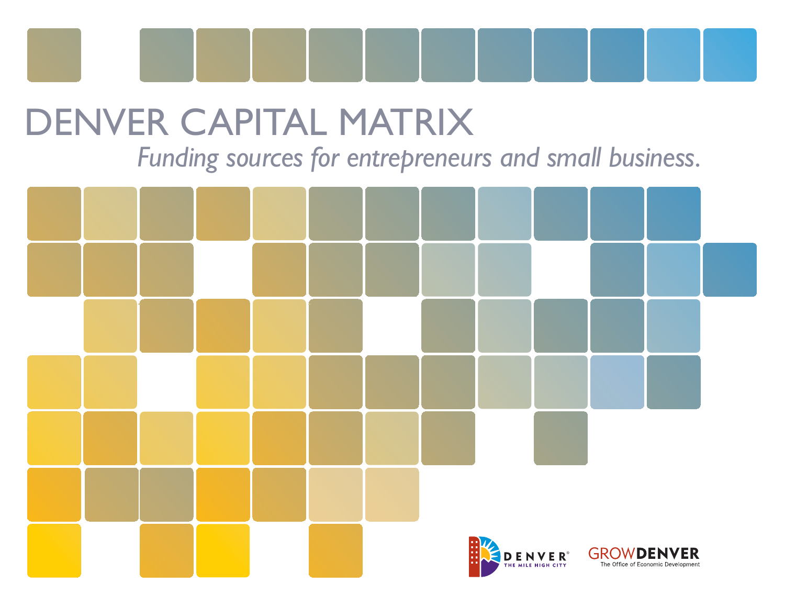

## DENVER CAPITAL MATRIX

*Funding sources for entrepreneurs and small business.*

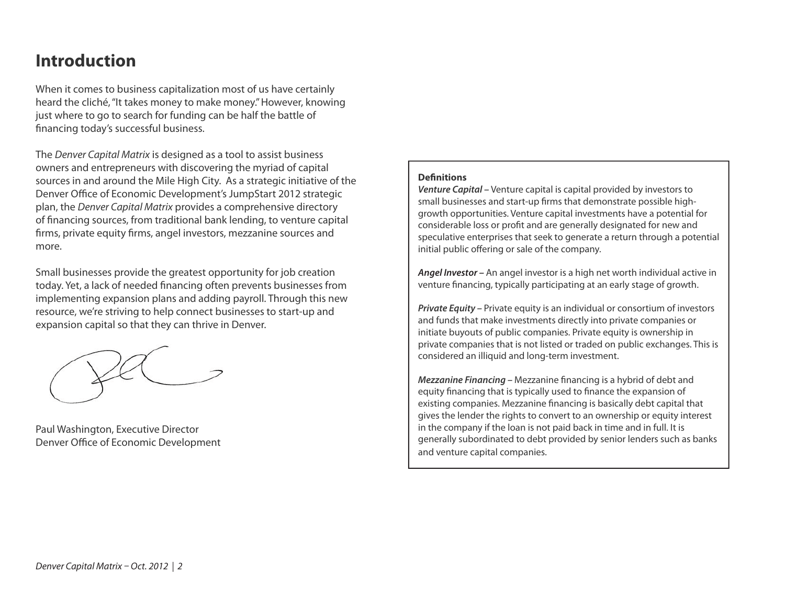## **Introduction**

When it comes to business capitalization most of us have certainly heard the cliché, "It takes money to make money." However, knowing just where to go to search for funding can be half the battle of financing today's successful business.

The Denver Capital Matrix is designed as a tool to assist business owners and entrepreneurs with discovering the myriad of capital sources in and around the Mile High City. As a strategic initiative of the Denver Office of Economic Development's JumpStart 2012 strategic plan, the Denver Capital Matrix provides a comprehensive directory of financing sources, from traditional bank lending, to venture capital firms, private equity firms, angel investors, mezzanine sources and more.

Small businesses provide the greatest opportunity for job creation today. Yet, a lack of needed financing often prevents businesses from implementing expansion plans and adding payroll. Through this new resource, we're striving to help connect businesses to start-up and expansion capital so that they can thrive in Denver.

Paul Washington, Executive Director Denver Office of Economic Development

## **Definitions**

*Venture Capital –* Venture capital is capital provided by investors to small businesses and start-up firms that demonstrate possible highgrowth opportunities. Venture capital investments have a potential for considerable loss or profit and are generally designated for new and speculative enterprises that seek to generate a return through a potential initial public offering or sale of the company.

*Angel Investor –* An angel investor is a high net worth individual active in venture financing, typically participating at an early stage of growth.

*Private Equity –* Private equity is an individual or consortium of investors and funds that make investments directly into private companies or initiate buyouts of public companies. Private equity is ownership in private companies that is not listed or traded on public exchanges. This is considered an illiquid and long-term investment.

*Mezzanine Financing – Mezzanine financing is a hybrid of debt and* equity financing that is typically used to finance the expansion of existing companies. Mezzanine financing is basically debt capital that gives the lender the rights to convert to an ownership or equity interest in the company if the loan is not paid back in time and in full. It is generally subordinated to debt provided by senior lenders such as banks and venture capital companies.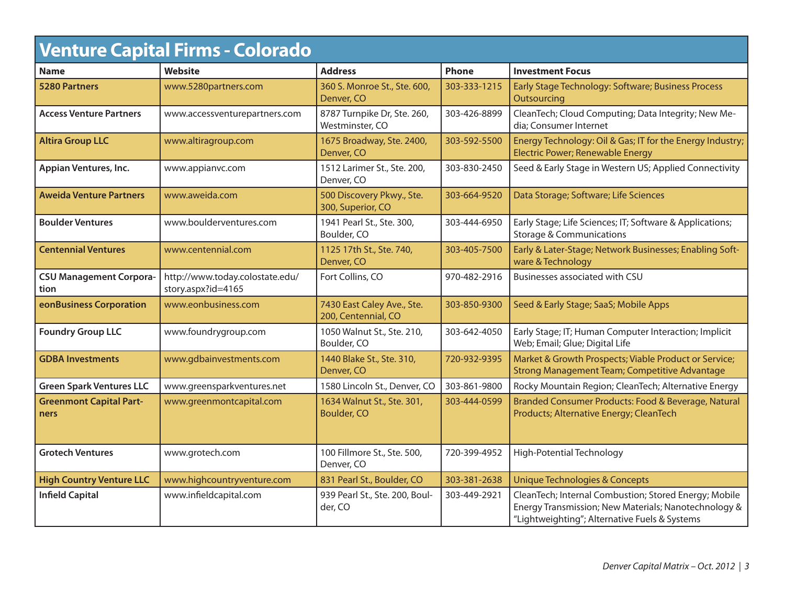| <b>Venture Capital Firms - Colorado</b> |                                                       |                                                   |              |                                                                                                                                                                |  |
|-----------------------------------------|-------------------------------------------------------|---------------------------------------------------|--------------|----------------------------------------------------------------------------------------------------------------------------------------------------------------|--|
| <b>Name</b>                             | <b>Website</b>                                        | <b>Address</b>                                    | <b>Phone</b> | <b>Investment Focus</b>                                                                                                                                        |  |
| <b>5280 Partners</b>                    | www.5280partners.com                                  | 360 S. Monroe St., Ste. 600,<br>Denver, CO        | 303-333-1215 | Early Stage Technology: Software; Business Process<br>Outsourcing                                                                                              |  |
| <b>Access Venture Partners</b>          | www.accessventurepartners.com                         | 8787 Turnpike Dr, Ste. 260,<br>Westminster, CO    | 303-426-8899 | CleanTech; Cloud Computing; Data Integrity; New Me-<br>dia; Consumer Internet                                                                                  |  |
| <b>Altira Group LLC</b>                 | www.altiragroup.com                                   | 1675 Broadway, Ste. 2400,<br>Denver, CO           | 303-592-5500 | Energy Technology: Oil & Gas; IT for the Energy Industry;<br>Electric Power; Renewable Energy                                                                  |  |
| Appian Ventures, Inc.                   | www.appianvc.com                                      | 1512 Larimer St., Ste. 200,<br>Denver, CO         | 303-830-2450 | Seed & Early Stage in Western US; Applied Connectivity                                                                                                         |  |
| <b>Aweida Venture Partners</b>          | www.aweida.com                                        | 500 Discovery Pkwy., Ste.<br>300, Superior, CO    | 303-664-9520 | Data Storage; Software; Life Sciences                                                                                                                          |  |
| <b>Boulder Ventures</b>                 | www.boulderventures.com                               | 1941 Pearl St., Ste. 300,<br>Boulder, CO          | 303-444-6950 | Early Stage; Life Sciences; IT; Software & Applications;<br><b>Storage &amp; Communications</b>                                                                |  |
| <b>Centennial Ventures</b>              | www.centennial.com                                    | 1125 17th St., Ste. 740,<br>Denver, CO            | 303-405-7500 | Early & Later-Stage; Network Businesses; Enabling Soft-<br>ware & Technology                                                                                   |  |
| <b>CSU Management Corpora-</b><br>tion  | http://www.today.colostate.edu/<br>story.aspx?id=4165 | Fort Collins, CO                                  | 970-482-2916 | Businesses associated with CSU                                                                                                                                 |  |
| eonBusiness Corporation                 | www.eonbusiness.com                                   | 7430 East Caley Ave., Ste.<br>200, Centennial, CO | 303-850-9300 | Seed & Early Stage; SaaS; Mobile Apps                                                                                                                          |  |
| <b>Foundry Group LLC</b>                | www.foundrygroup.com                                  | 1050 Walnut St., Ste. 210,<br>Boulder, CO         | 303-642-4050 | Early Stage; IT; Human Computer Interaction; Implicit<br>Web; Email; Glue; Digital Life                                                                        |  |
| <b>GDBA Investments</b>                 | www.gdbainvestments.com                               | 1440 Blake St., Ste. 310,<br>Denver, CO           | 720-932-9395 | Market & Growth Prospects; Viable Product or Service;<br><b>Strong Management Team; Competitive Advantage</b>                                                  |  |
| <b>Green Spark Ventures LLC</b>         | www.greensparkventures.net                            | 1580 Lincoln St., Denver, CO                      | 303-861-9800 | Rocky Mountain Region; CleanTech; Alternative Energy                                                                                                           |  |
| <b>Greenmont Capital Part-</b><br>ners  | www.greenmontcapital.com                              | 1634 Walnut St., Ste. 301,<br><b>Boulder, CO</b>  | 303-444-0599 | Branded Consumer Products: Food & Beverage, Natural<br>Products; Alternative Energy; CleanTech                                                                 |  |
| <b>Grotech Ventures</b>                 | www.grotech.com                                       | 100 Fillmore St., Ste. 500,<br>Denver, CO         | 720-399-4952 | High-Potential Technology                                                                                                                                      |  |
| <b>High Country Venture LLC</b>         | www.highcountryventure.com                            | 831 Pearl St., Boulder, CO                        | 303-381-2638 | <b>Unique Technologies &amp; Concepts</b>                                                                                                                      |  |
| <b>Infield Capital</b>                  | www.infieldcapital.com                                | 939 Pearl St., Ste. 200, Boul-<br>der, CO         | 303-449-2921 | CleanTech; Internal Combustion; Stored Energy; Mobile<br>Energy Transmission; New Materials; Nanotechnology &<br>"Lightweighting"; Alternative Fuels & Systems |  |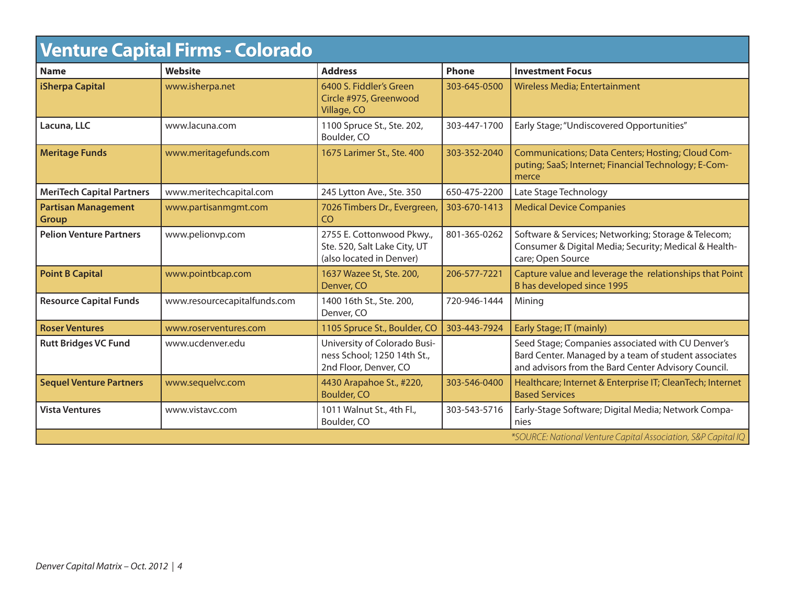| <b>Venture Capital Firms - Colorado</b>    |                                                               |                                                                                       |              |                                                                                                                                                                  |  |
|--------------------------------------------|---------------------------------------------------------------|---------------------------------------------------------------------------------------|--------------|------------------------------------------------------------------------------------------------------------------------------------------------------------------|--|
| <b>Name</b>                                | <b>Website</b>                                                | <b>Address</b>                                                                        | Phone        | <b>Investment Focus</b>                                                                                                                                          |  |
| iSherpa Capital                            | www.isherpa.net                                               | 6400 S. Fiddler's Green<br>Circle #975, Greenwood<br>Village, CO                      | 303-645-0500 | <b>Wireless Media; Entertainment</b>                                                                                                                             |  |
| Lacuna, LLC                                | www.lacuna.com                                                | 1100 Spruce St., Ste. 202,<br>Boulder, CO                                             | 303-447-1700 | Early Stage; "Undiscovered Opportunities"                                                                                                                        |  |
| <b>Meritage Funds</b>                      | www.meritagefunds.com                                         | 1675 Larimer St., Ste. 400                                                            | 303-352-2040 | Communications; Data Centers; Hosting; Cloud Com-<br>puting; SaaS; Internet; Financial Technology; E-Com-<br>merce                                               |  |
| <b>MeriTech Capital Partners</b>           | www.meritechcapital.com                                       | 245 Lytton Ave., Ste. 350                                                             | 650-475-2200 | Late Stage Technology                                                                                                                                            |  |
| <b>Partisan Management</b><br><b>Group</b> | www.partisanmgmt.com                                          | 7026 Timbers Dr., Evergreen,<br><b>CO</b>                                             | 303-670-1413 | <b>Medical Device Companies</b>                                                                                                                                  |  |
| <b>Pelion Venture Partners</b>             | www.pelionvp.com                                              | 2755 E. Cottonwood Pkwy.,<br>Ste. 520, Salt Lake City, UT<br>(also located in Denver) | 801-365-0262 | Software & Services; Networking; Storage & Telecom;<br>Consumer & Digital Media; Security; Medical & Health-<br>care; Open Source                                |  |
| <b>Point B Capital</b>                     | www.pointbcap.com                                             | 1637 Wazee St, Ste. 200,<br>Denver, CO                                                | 206-577-7221 | Capture value and leverage the relationships that Point<br>B has developed since 1995                                                                            |  |
| <b>Resource Capital Funds</b>              | www.resourcecapitalfunds.com                                  | 1400 16th St., Ste. 200,<br>Denver, CO                                                | 720-946-1444 | Mining                                                                                                                                                           |  |
| <b>Roser Ventures</b>                      | www.roserventures.com                                         | 1105 Spruce St., Boulder, CO                                                          | 303-443-7924 | Early Stage; IT (mainly)                                                                                                                                         |  |
| <b>Rutt Bridges VC Fund</b>                | www.ucdenver.edu                                              | University of Colorado Busi-<br>ness School; 1250 14th St.,<br>2nd Floor, Denver, CO  |              | Seed Stage; Companies associated with CU Denver's<br>Bard Center. Managed by a team of student associates<br>and advisors from the Bard Center Advisory Council. |  |
| <b>Sequel Venture Partners</b>             | www.sequelvc.com                                              | 4430 Arapahoe St., #220,<br><b>Boulder, CO</b>                                        | 303-546-0400 | Healthcare; Internet & Enterprise IT; CleanTech; Internet<br><b>Based Services</b>                                                                               |  |
| <b>Vista Ventures</b>                      | www.vistavc.com                                               | 1011 Walnut St., 4th Fl.,<br>Boulder, CO                                              | 303-543-5716 | Early-Stage Software; Digital Media; Network Compa-<br>nies                                                                                                      |  |
|                                            | *SOURCE: National Venture Capital Association, S&P Capital IQ |                                                                                       |              |                                                                                                                                                                  |  |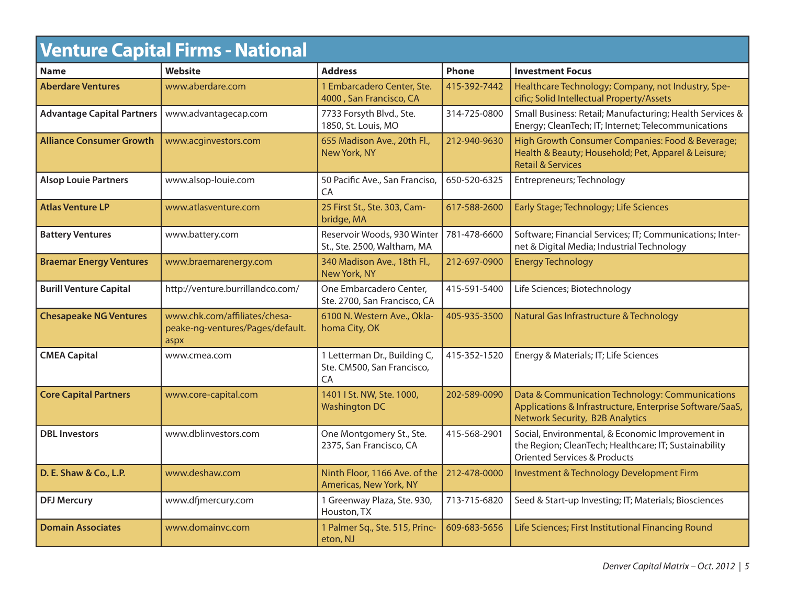| <b>Venture Capital Firms - National</b> |                                                                           |                                                                  |              |                                                                                                                                                      |  |
|-----------------------------------------|---------------------------------------------------------------------------|------------------------------------------------------------------|--------------|------------------------------------------------------------------------------------------------------------------------------------------------------|--|
| <b>Name</b>                             | <b>Website</b>                                                            | <b>Address</b>                                                   | Phone        | <b>Investment Focus</b>                                                                                                                              |  |
| <b>Aberdare Ventures</b>                | www.aberdare.com                                                          | 1 Embarcadero Center, Ste.<br>4000, San Francisco, CA            | 415-392-7442 | Healthcare Technology; Company, not Industry, Spe-<br>cific; Solid Intellectual Property/Assets                                                      |  |
| <b>Advantage Capital Partners</b>       | www.advantagecap.com                                                      | 7733 Forsyth Blvd., Ste.<br>1850, St. Louis, MO                  | 314-725-0800 | Small Business: Retail; Manufacturing; Health Services &<br>Energy; CleanTech; IT; Internet; Telecommunications                                      |  |
| <b>Alliance Consumer Growth</b>         | www.acginvestors.com                                                      | 655 Madison Ave., 20th Fl.,<br>New York, NY                      | 212-940-9630 | High Growth Consumer Companies: Food & Beverage;<br>Health & Beauty; Household; Pet, Apparel & Leisure;<br><b>Retail &amp; Services</b>              |  |
| <b>Alsop Louie Partners</b>             | www.alsop-louie.com                                                       | 50 Pacific Ave., San Franciso,<br>CA                             | 650-520-6325 | Entrepreneurs; Technology                                                                                                                            |  |
| <b>Atlas Venture LP</b>                 | www.atlasventure.com                                                      | 25 First St., Ste. 303, Cam-<br>bridge, MA                       | 617-588-2600 | Early Stage; Technology; Life Sciences                                                                                                               |  |
| <b>Battery Ventures</b>                 | www.battery.com                                                           | Reservoir Woods, 930 Winter<br>St., Ste. 2500, Waltham, MA       | 781-478-6600 | Software; Financial Services; IT; Communications; Inter-<br>net & Digital Media; Industrial Technology                                               |  |
| <b>Braemar Energy Ventures</b>          | www.braemarenergy.com                                                     | 340 Madison Ave., 18th Fl.,<br>New York, NY                      | 212-697-0900 | <b>Energy Technology</b>                                                                                                                             |  |
| <b>Burill Venture Capital</b>           | http://venture.burrillandco.com/                                          | One Embarcadero Center,<br>Ste. 2700, San Francisco, CA          | 415-591-5400 | Life Sciences; Biotechnology                                                                                                                         |  |
| <b>Chesapeake NG Ventures</b>           | www.chk.com/affiliates/chesa-<br>peake-ng-ventures/Pages/default.<br>aspx | 6100 N. Western Ave., Okla-<br>homa City, OK                     | 405-935-3500 | Natural Gas Infrastructure & Technology                                                                                                              |  |
| <b>CMEA Capital</b>                     | www.cmea.com                                                              | 1 Letterman Dr., Building C,<br>Ste. CM500, San Francisco,<br>CA | 415-352-1520 | Energy & Materials; IT; Life Sciences                                                                                                                |  |
| <b>Core Capital Partners</b>            | www.core-capital.com                                                      | 1401   St. NW, Ste. 1000,<br><b>Washington DC</b>                | 202-589-0090 | Data & Communication Technology: Communications<br>Applications & Infrastructure, Enterprise Software/SaaS,<br>Network Security, B2B Analytics       |  |
| <b>DBL</b> Investors                    | www.dblinvestors.com                                                      | One Montgomery St., Ste.<br>2375, San Francisco, CA              | 415-568-2901 | Social, Environmental, & Economic Improvement in<br>the Region; CleanTech; Healthcare; IT; Sustainability<br><b>Oriented Services &amp; Products</b> |  |
| D. E. Shaw & Co., L.P.                  | www.deshaw.com                                                            | Ninth Floor, 1166 Ave. of the<br>Americas, New York, NY          | 212-478-0000 | Investment & Technology Development Firm                                                                                                             |  |
| <b>DFJ Mercury</b>                      | www.dfjmercury.com                                                        | 1 Greenway Plaza, Ste. 930,<br>Houston, TX                       | 713-715-6820 | Seed & Start-up Investing; IT; Materials; Biosciences                                                                                                |  |
| <b>Domain Associates</b>                | www.domainvc.com                                                          | 1 Palmer Sq., Ste. 515, Princ-<br>eton, NJ                       | 609-683-5656 | Life Sciences; First Institutional Financing Round                                                                                                   |  |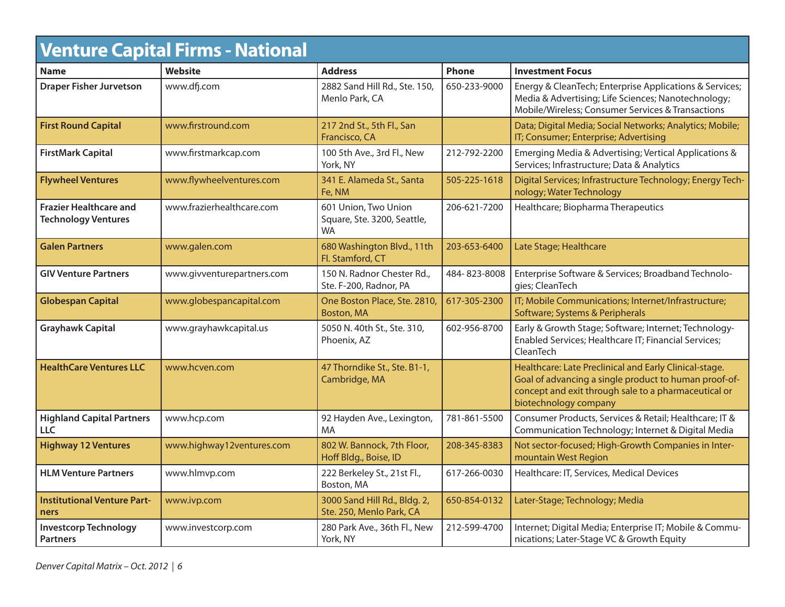| <b>Venture Capital Firms - National</b>                     |                            |                                                                  |              |                                                                                                                                                                                                  |
|-------------------------------------------------------------|----------------------------|------------------------------------------------------------------|--------------|--------------------------------------------------------------------------------------------------------------------------------------------------------------------------------------------------|
| <b>Name</b>                                                 | Website                    | <b>Address</b>                                                   | <b>Phone</b> | <b>Investment Focus</b>                                                                                                                                                                          |
| <b>Draper Fisher Jurvetson</b>                              | www.dfj.com                | 2882 Sand Hill Rd., Ste. 150,<br>Menlo Park, CA                  | 650-233-9000 | Energy & CleanTech; Enterprise Applications & Services;<br>Media & Advertising; Life Sciences; Nanotechnology;<br>Mobile/Wireless; Consumer Services & Transactions                              |
| <b>First Round Capital</b>                                  | www.firstround.com         | 217 2nd St., 5th Fl., San<br>Francisco, CA                       |              | Data; Digital Media; Social Networks; Analytics; Mobile;<br>IT; Consumer; Enterprise; Advertising                                                                                                |
| <b>FirstMark Capital</b>                                    | www.firstmarkcap.com       | 100 5th Ave., 3rd Fl., New<br>York, NY                           | 212-792-2200 | Emerging Media & Advertising; Vertical Applications &<br>Services; Infrastructure; Data & Analytics                                                                                              |
| <b>Flywheel Ventures</b>                                    | www.flywheelventures.com   | 341 E. Alameda St., Santa<br>Fe, NM                              | 505-225-1618 | Digital Services; Infrastructure Technology; Energy Tech-<br>nology; Water Technology                                                                                                            |
| <b>Frazier Healthcare and</b><br><b>Technology Ventures</b> | www.frazierhealthcare.com  | 601 Union, Two Union<br>Square, Ste. 3200, Seattle,<br><b>WA</b> | 206-621-7200 | Healthcare; Biopharma Therapeutics                                                                                                                                                               |
| <b>Galen Partners</b>                                       | www.galen.com              | 680 Washington Blvd., 11th<br>Fl. Stamford, CT                   | 203-653-6400 | Late Stage; Healthcare                                                                                                                                                                           |
| <b>GIV Venture Partners</b>                                 | www.givventurepartners.com | 150 N. Radnor Chester Rd.,<br>Ste. F-200, Radnor, PA             | 484-823-8008 | Enterprise Software & Services; Broadband Technolo-<br>gies; CleanTech                                                                                                                           |
| <b>Globespan Capital</b>                                    | www.globespancapital.com   | One Boston Place, Ste. 2810,<br>Boston, MA                       | 617-305-2300 | IT; Mobile Communications; Internet/Infrastructure;<br>Software; Systems & Peripherals                                                                                                           |
| <b>Grayhawk Capital</b>                                     | www.grayhawkcapital.us     | 5050 N. 40th St., Ste. 310,<br>Phoenix, AZ                       | 602-956-8700 | Early & Growth Stage; Software; Internet; Technology-<br>Enabled Services; Healthcare IT; Financial Services;<br>CleanTech                                                                       |
| <b>HealthCare Ventures LLC</b>                              | www.hcven.com              | 47 Thorndike St., Ste. B1-1,<br>Cambridge, MA                    |              | Healthcare: Late Preclinical and Early Clinical-stage.<br>Goal of advancing a single product to human proof-of-<br>concept and exit through sale to a pharmaceutical or<br>biotechnology company |
| <b>Highland Capital Partners</b><br>LLC                     | www.hcp.com                | 92 Hayden Ave., Lexington,<br>MA                                 | 781-861-5500 | Consumer Products, Services & Retail; Healthcare; IT &<br>Communication Technology; Internet & Digital Media                                                                                     |
| <b>Highway 12 Ventures</b>                                  | www.highway12ventures.com  | 802 W. Bannock, 7th Floor,<br>Hoff Bldg., Boise, ID              | 208-345-8383 | Not sector-focused; High-Growth Companies in Inter-<br>mountain West Region                                                                                                                      |
| <b>HLM Venture Partners</b>                                 | www.hlmvp.com              | 222 Berkeley St., 21st Fl.,<br>Boston, MA                        | 617-266-0030 | Healthcare: IT, Services, Medical Devices                                                                                                                                                        |
| <b>Institutional Venture Part-</b><br>ners                  | www.ivp.com                | 3000 Sand Hill Rd., Bldg. 2,<br>Ste. 250, Menlo Park, CA         | 650-854-0132 | Later-Stage; Technology; Media                                                                                                                                                                   |
| <b>Investcorp Technology</b><br><b>Partners</b>             | www.investcorp.com         | 280 Park Ave., 36th Fl., New<br>York, NY                         | 212-599-4700 | Internet; Digital Media; Enterprise IT; Mobile & Commu-<br>nications; Later-Stage VC & Growth Equity                                                                                             |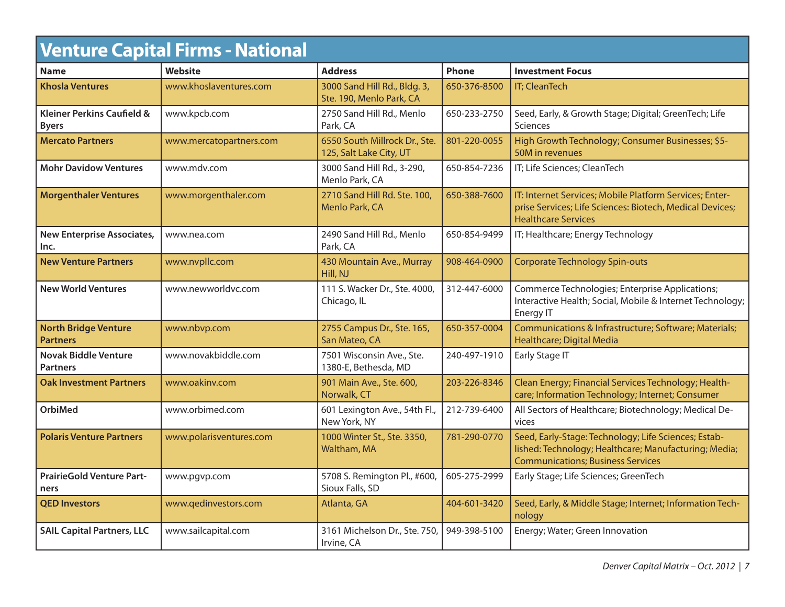| <b>Venture Capital Firms - National</b>               |                         |                                                          |              |                                                                                                                                                           |  |
|-------------------------------------------------------|-------------------------|----------------------------------------------------------|--------------|-----------------------------------------------------------------------------------------------------------------------------------------------------------|--|
| <b>Name</b>                                           | <b>Website</b>          | <b>Address</b>                                           | <b>Phone</b> | <b>Investment Focus</b>                                                                                                                                   |  |
| <b>Khosla Ventures</b>                                | www.khoslaventures.com  | 3000 Sand Hill Rd., Bldg. 3,<br>Ste. 190, Menlo Park, CA | 650-376-8500 | <b>IT</b> ; CleanTech                                                                                                                                     |  |
| <b>Kleiner Perkins Caufield &amp;</b><br><b>Byers</b> | www.kpcb.com            | 2750 Sand Hill Rd., Menlo<br>Park, CA                    | 650-233-2750 | Seed, Early, & Growth Stage; Digital; GreenTech; Life<br>Sciences                                                                                         |  |
| <b>Mercato Partners</b>                               | www.mercatopartners.com | 6550 South Millrock Dr., Ste.<br>125, Salt Lake City, UT | 801-220-0055 | High Growth Technology; Consumer Businesses; \$5-<br>50M in revenues                                                                                      |  |
| <b>Mohr Davidow Ventures</b>                          | www.mdv.com             | 3000 Sand Hill Rd., 3-290,<br>Menlo Park, CA             | 650-854-7236 | IT; Life Sciences; CleanTech                                                                                                                              |  |
| <b>Morgenthaler Ventures</b>                          | www.morgenthaler.com    | 2710 Sand Hill Rd. Ste. 100,<br>Menlo Park, CA           | 650-388-7600 | IT: Internet Services; Mobile Platform Services; Enter-<br>prise Services; Life Sciences: Biotech, Medical Devices;<br><b>Healthcare Services</b>         |  |
| <b>New Enterprise Associates,</b><br>Inc.             | www.nea.com             | 2490 Sand Hill Rd., Menlo<br>Park, CA                    | 650-854-9499 | IT; Healthcare; Energy Technology                                                                                                                         |  |
| <b>New Venture Partners</b>                           | www.nvpllc.com          | 430 Mountain Ave., Murray<br>Hill, NJ                    | 908-464-0900 | <b>Corporate Technology Spin-outs</b>                                                                                                                     |  |
| <b>New World Ventures</b>                             | www.newworldvc.com      | 111 S. Wacker Dr., Ste. 4000,<br>Chicago, IL             | 312-447-6000 | Commerce Technologies; Enterprise Applications;<br>Interactive Health; Social, Mobile & Internet Technology;<br>Energy IT                                 |  |
| <b>North Bridge Venture</b><br><b>Partners</b>        | www.nbvp.com            | 2755 Campus Dr., Ste. 165,<br>San Mateo, CA              | 650-357-0004 | Communications & Infrastructure; Software; Materials;<br>Healthcare; Digital Media                                                                        |  |
| <b>Novak Biddle Venture</b><br><b>Partners</b>        | www.novakbiddle.com     | 7501 Wisconsin Ave., Ste.<br>1380-E, Bethesda, MD        | 240-497-1910 | Early Stage IT                                                                                                                                            |  |
| <b>Oak Investment Partners</b>                        | www.oakinv.com          | 901 Main Ave., Ste. 600,<br>Norwalk, CT                  | 203-226-8346 | Clean Energy; Financial Services Technology; Health-<br>care; Information Technology; Internet; Consumer                                                  |  |
| <b>OrbiMed</b>                                        | www.orbimed.com         | 601 Lexington Ave., 54th Fl.,<br>New York, NY            | 212-739-6400 | All Sectors of Healthcare; Biotechnology; Medical De-<br>vices                                                                                            |  |
| <b>Polaris Venture Partners</b>                       | www.polarisventures.com | 1000 Winter St., Ste. 3350,<br>Waltham, MA               | 781-290-0770 | Seed, Early-Stage: Technology; Life Sciences; Estab-<br>lished: Technology; Healthcare; Manufacturing; Media;<br><b>Communications; Business Services</b> |  |
| <b>PrairieGold Venture Part-</b><br>ners              | www.pgvp.com            | 5708 S. Remington Pl., #600,<br>Sioux Falls, SD          | 605-275-2999 | Early Stage; Life Sciences; GreenTech                                                                                                                     |  |
| <b>QED Investors</b>                                  | www.qedinvestors.com    | Atlanta, GA                                              | 404-601-3420 | Seed, Early, & Middle Stage; Internet; Information Tech-<br>nology                                                                                        |  |
| <b>SAIL Capital Partners, LLC</b>                     | www.sailcapital.com     | 3161 Michelson Dr., Ste. 750,<br>Irvine, CA              | 949-398-5100 | Energy; Water; Green Innovation                                                                                                                           |  |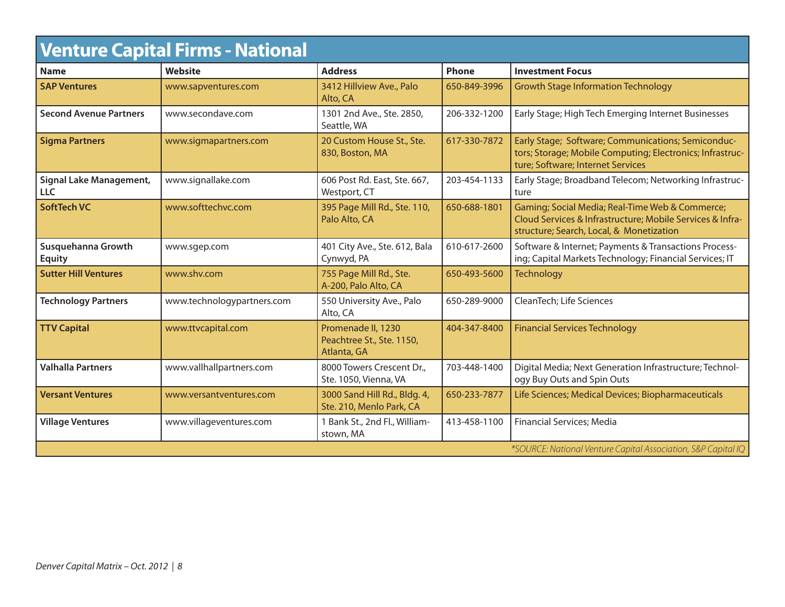| <b>Venture Capital Firms - National</b> |                                                               |                                                                |              |                                                                                                                                                          |  |
|-----------------------------------------|---------------------------------------------------------------|----------------------------------------------------------------|--------------|----------------------------------------------------------------------------------------------------------------------------------------------------------|--|
| <b>Name</b>                             | Website                                                       | <b>Address</b>                                                 | <b>Phone</b> | <b>Investment Focus</b>                                                                                                                                  |  |
| <b>SAP Ventures</b>                     | www.sapventures.com                                           | 3412 Hillview Ave., Palo<br>Alto, CA                           | 650-849-3996 | <b>Growth Stage Information Technology</b>                                                                                                               |  |
| <b>Second Avenue Partners</b>           | www.secondave.com                                             | 1301 2nd Ave., Ste. 2850,<br>Seattle, WA                       | 206-332-1200 | Early Stage; High Tech Emerging Internet Businesses                                                                                                      |  |
| <b>Sigma Partners</b>                   | www.sigmapartners.com                                         | 20 Custom House St., Ste.<br>830, Boston, MA                   | 617-330-7872 | Early Stage; Software; Communications; Semiconduc-<br>tors; Storage; Mobile Computing; Electronics; Infrastruc-<br>ture; Software; Internet Services     |  |
| Signal Lake Management,<br><b>LLC</b>   | www.signallake.com                                            | 606 Post Rd. East, Ste. 667,<br>Westport, CT                   | 203-454-1133 | Early Stage; Broadband Telecom; Networking Infrastruc-<br>ture                                                                                           |  |
| <b>SoftTech VC</b>                      | www.softtechvc.com                                            | 395 Page Mill Rd., Ste. 110,<br>Palo Alto, CA                  | 650-688-1801 | Gaming; Social Media; Real-Time Web & Commerce;<br>Cloud Services & Infrastructure; Mobile Services & Infra-<br>structure; Search, Local, & Monetization |  |
| Susquehanna Growth<br><b>Equity</b>     | www.sgep.com                                                  | 401 City Ave., Ste. 612, Bala<br>Cynwyd, PA                    | 610-617-2600 | Software & Internet; Payments & Transactions Process-<br>ing; Capital Markets Technology; Financial Services; IT                                         |  |
| <b>Sutter Hill Ventures</b>             | www.shv.com                                                   | 755 Page Mill Rd., Ste.<br>A-200, Palo Alto, CA                | 650-493-5600 | <b>Technology</b>                                                                                                                                        |  |
| <b>Technology Partners</b>              | www.technologypartners.com                                    | 550 University Ave., Palo<br>Alto, CA                          | 650-289-9000 | CleanTech; Life Sciences                                                                                                                                 |  |
| <b>TTV Capital</b>                      | www.ttvcapital.com                                            | Promenade II, 1230<br>Peachtree St., Ste. 1150,<br>Atlanta, GA | 404-347-8400 | <b>Financial Services Technology</b>                                                                                                                     |  |
| <b>Valhalla Partners</b>                | www.vallhallpartners.com                                      | 8000 Towers Crescent Dr.,<br>Ste. 1050, Vienna, VA             | 703-448-1400 | Digital Media; Next Generation Infrastructure; Technol-<br>ogy Buy Outs and Spin Outs                                                                    |  |
| <b>Versant Ventures</b>                 | www.versantventures.com                                       | 3000 Sand Hill Rd., Bldg. 4,<br>Ste. 210, Menlo Park, CA       | 650-233-7877 | Life Sciences; Medical Devices; Biopharmaceuticals                                                                                                       |  |
| <b>Village Ventures</b>                 | www.villageventures.com                                       | 1 Bank St., 2nd Fl., William-<br>stown, MA                     | 413-458-1100 | Financial Services; Media                                                                                                                                |  |
|                                         | *SOURCE: National Venture Capital Association, S&P Capital IQ |                                                                |              |                                                                                                                                                          |  |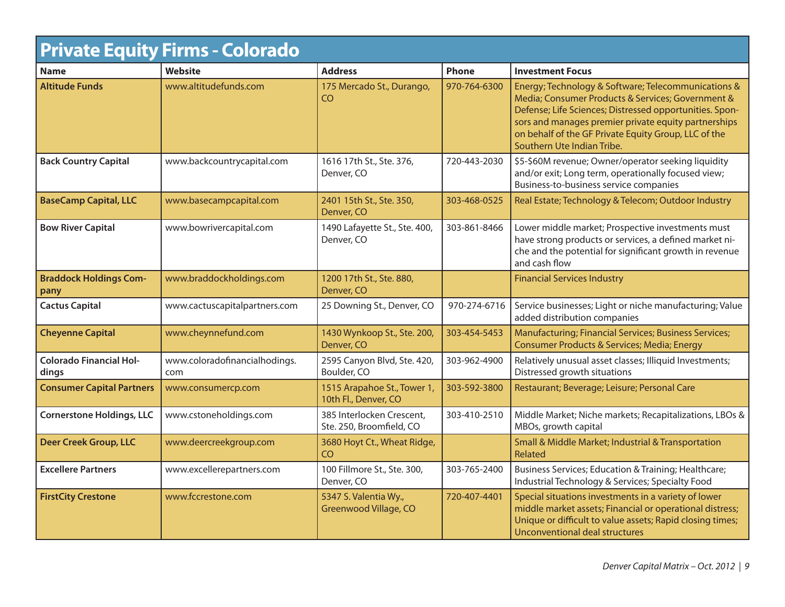| <b>Private Equity Firms - Colorado</b>  |                                      |                                                       |              |                                                                                                                                                                                                                                                                                                                   |
|-----------------------------------------|--------------------------------------|-------------------------------------------------------|--------------|-------------------------------------------------------------------------------------------------------------------------------------------------------------------------------------------------------------------------------------------------------------------------------------------------------------------|
| <b>Name</b>                             | <b>Website</b>                       | <b>Address</b>                                        | <b>Phone</b> | <b>Investment Focus</b>                                                                                                                                                                                                                                                                                           |
| <b>Altitude Funds</b>                   | www.altitudefunds.com                | 175 Mercado St., Durango,<br>CO.                      | 970-764-6300 | Energy; Technology & Software; Telecommunications &<br>Media; Consumer Products & Services; Government &<br>Defense; Life Sciences; Distressed opportunities. Spon-<br>sors and manages premier private equity partnerships<br>on behalf of the GF Private Equity Group, LLC of the<br>Southern Ute Indian Tribe. |
| <b>Back Country Capital</b>             | www.backcountrycapital.com           | 1616 17th St., Ste. 376,<br>Denver, CO                | 720-443-2030 | \$5-\$60M revenue; Owner/operator seeking liquidity<br>and/or exit; Long term, operationally focused view;<br>Business-to-business service companies                                                                                                                                                              |
| <b>BaseCamp Capital, LLC</b>            | www.basecampcapital.com              | 2401 15th St., Ste. 350,<br>Denver, CO                | 303-468-0525 | Real Estate; Technology & Telecom; Outdoor Industry                                                                                                                                                                                                                                                               |
| <b>Bow River Capital</b>                | www.bowrivercapital.com              | 1490 Lafayette St., Ste. 400,<br>Denver, CO           | 303-861-8466 | Lower middle market; Prospective investments must<br>have strong products or services, a defined market ni-<br>che and the potential for significant growth in revenue<br>and cash flow                                                                                                                           |
| <b>Braddock Holdings Com-</b><br>pany   | www.braddockholdings.com             | 1200 17th St., Ste. 880,<br>Denver, CO                |              | <b>Financial Services Industry</b>                                                                                                                                                                                                                                                                                |
| <b>Cactus Capital</b>                   | www.cactuscapitalpartners.com        | 25 Downing St., Denver, CO                            | 970-274-6716 | Service businesses; Light or niche manufacturing; Value<br>added distribution companies                                                                                                                                                                                                                           |
| <b>Cheyenne Capital</b>                 | www.cheynnefund.com                  | 1430 Wynkoop St., Ste. 200,<br>Denver, CO             | 303-454-5453 | Manufacturing; Financial Services; Business Services;<br>Consumer Products & Services; Media; Energy                                                                                                                                                                                                              |
| <b>Colorado Financial Hol-</b><br>dings | www.coloradofinancialhodings.<br>com | 2595 Canyon Blvd, Ste. 420,<br>Boulder, CO            | 303-962-4900 | Relatively unusual asset classes; Illiquid Investments;<br>Distressed growth situations                                                                                                                                                                                                                           |
| <b>Consumer Capital Partners</b>        | www.consumercp.com                   | 1515 Arapahoe St., Tower 1,<br>10th Fl., Denver, CO   | 303-592-3800 | Restaurant; Beverage; Leisure; Personal Care                                                                                                                                                                                                                                                                      |
| <b>Cornerstone Holdings, LLC</b>        | www.cstoneholdings.com               | 385 Interlocken Crescent,<br>Ste. 250, Broomfield, CO | 303-410-2510 | Middle Market; Niche markets; Recapitalizations, LBOs &<br>MBOs, growth capital                                                                                                                                                                                                                                   |
| <b>Deer Creek Group, LLC</b>            | www.deercreekgroup.com               | 3680 Hoyt Ct., Wheat Ridge,<br>C <sub>O</sub>         |              | Small & Middle Market; Industrial & Transportation<br><b>Related</b>                                                                                                                                                                                                                                              |
| <b>Excellere Partners</b>               | www.excellerepartners.com            | 100 Fillmore St., Ste. 300,<br>Denver, CO             | 303-765-2400 | Business Services; Education & Training; Healthcare;<br>Industrial Technology & Services; Specialty Food                                                                                                                                                                                                          |
| <b>FirstCity Crestone</b>               | www.fccrestone.com                   | 5347 S. Valentia Wy.,<br>Greenwood Village, CO        | 720-407-4401 | Special situations investments in a variety of lower<br>middle market assets; Financial or operational distress;<br>Unique or difficult to value assets; Rapid closing times;<br>Unconventional deal structures                                                                                                   |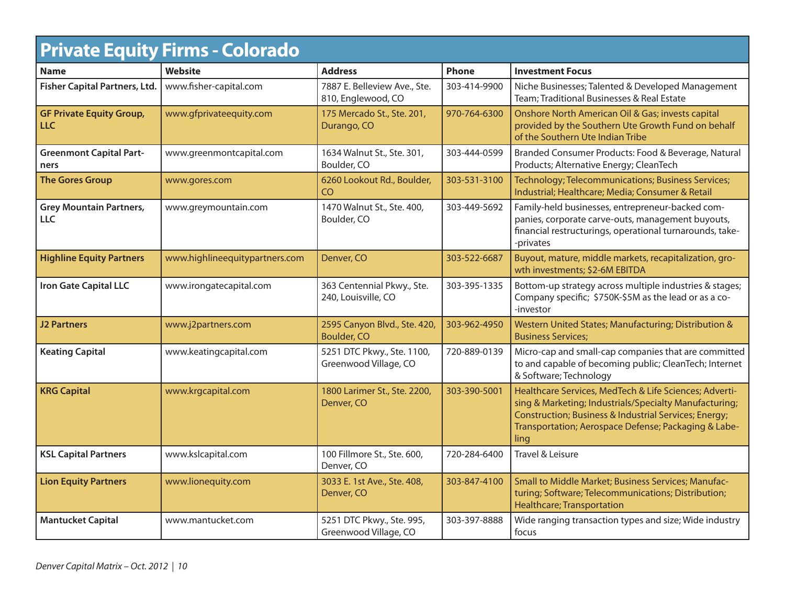|                                               | <b>Private Equity Firms - Colorado</b> |                                                     |              |                                                                                                                                                                                                                                           |
|-----------------------------------------------|----------------------------------------|-----------------------------------------------------|--------------|-------------------------------------------------------------------------------------------------------------------------------------------------------------------------------------------------------------------------------------------|
| <b>Name</b>                                   | <b>Website</b>                         | <b>Address</b>                                      | Phone        | <b>Investment Focus</b>                                                                                                                                                                                                                   |
| <b>Fisher Capital Partners, Ltd.</b>          | www.fisher-capital.com                 | 7887 E. Belleview Ave., Ste.<br>810, Englewood, CO  | 303-414-9900 | Niche Businesses; Talented & Developed Management<br>Team; Traditional Businesses & Real Estate                                                                                                                                           |
| <b>GF Private Equity Group,</b><br><b>LLC</b> | www.gfprivateequity.com                | 175 Mercado St., Ste. 201,<br>Durango, CO           | 970-764-6300 | Onshore North American Oil & Gas; invests capital<br>provided by the Southern Ute Growth Fund on behalf<br>of the Southern Ute Indian Tribe                                                                                               |
| <b>Greenmont Capital Part-</b><br>ners        | www.greenmontcapital.com               | 1634 Walnut St., Ste. 301,<br>Boulder, CO           | 303-444-0599 | Branded Consumer Products: Food & Beverage, Natural<br>Products; Alternative Energy; CleanTech                                                                                                                                            |
| <b>The Gores Group</b>                        | www.gores.com                          | 6260 Lookout Rd., Boulder,<br>CO                    | 303-531-3100 | Technology; Telecommunications; Business Services;<br>Industrial; Healthcare; Media; Consumer & Retail                                                                                                                                    |
| <b>Grey Mountain Partners,</b><br><b>LLC</b>  | www.greymountain.com                   | 1470 Walnut St., Ste. 400,<br>Boulder, CO           | 303-449-5692 | Family-held businesses, entrepreneur-backed com-<br>panies, corporate carve-outs, management buyouts,<br>financial restructurings, operational turnarounds, take-<br>-privates                                                            |
| <b>Highline Equity Partners</b>               | www.highlineequitypartners.com         | Denver, CO                                          | 303-522-6687 | Buyout, mature, middle markets, recapitalization, gro-<br>wth investments; \$2-6M EBITDA                                                                                                                                                  |
| <b>Iron Gate Capital LLC</b>                  | www.irongatecapital.com                | 363 Centennial Pkwy., Ste.<br>240, Louisville, CO   | 303-395-1335 | Bottom-up strategy across multiple industries & stages;<br>Company specific; \$750K-\$5M as the lead or as a co-<br>-investor                                                                                                             |
| <b>J2 Partners</b>                            | www.j2partners.com                     | 2595 Canyon Blvd., Ste. 420,<br><b>Boulder, CO</b>  | 303-962-4950 | Western United States; Manufacturing; Distribution &<br><b>Business Services;</b>                                                                                                                                                         |
| <b>Keating Capital</b>                        | www.keatingcapital.com                 | 5251 DTC Pkwy., Ste. 1100,<br>Greenwood Village, CO | 720-889-0139 | Micro-cap and small-cap companies that are committed<br>to and capable of becoming public; CleanTech; Internet<br>& Software; Technology                                                                                                  |
| <b>KRG Capital</b>                            | www.krgcapital.com                     | 1800 Larimer St., Ste. 2200,<br>Denver, CO          | 303-390-5001 | Healthcare Services, MedTech & Life Sciences; Adverti-<br>sing & Marketing; Industrials/Specialty Manufacturing;<br>Construction; Business & Industrial Services; Energy;<br>Transportation; Aerospace Defense; Packaging & Labe-<br>ling |
| <b>KSL Capital Partners</b>                   | www.kslcapital.com                     | 100 Fillmore St., Ste. 600,<br>Denver, CO           | 720-284-6400 | Travel & Leisure                                                                                                                                                                                                                          |
| <b>Lion Equity Partners</b>                   | www.lionequity.com                     | 3033 E. 1st Ave., Ste. 408,<br>Denver, CO           | 303-847-4100 | Small to Middle Market; Business Services; Manufac-<br>turing; Software; Telecommunications; Distribution;<br><b>Healthcare; Transportation</b>                                                                                           |
| <b>Mantucket Capital</b>                      | www.mantucket.com                      | 5251 DTC Pkwy., Ste. 995,<br>Greenwood Village, CO  | 303-397-8888 | Wide ranging transaction types and size; Wide industry<br>focus                                                                                                                                                                           |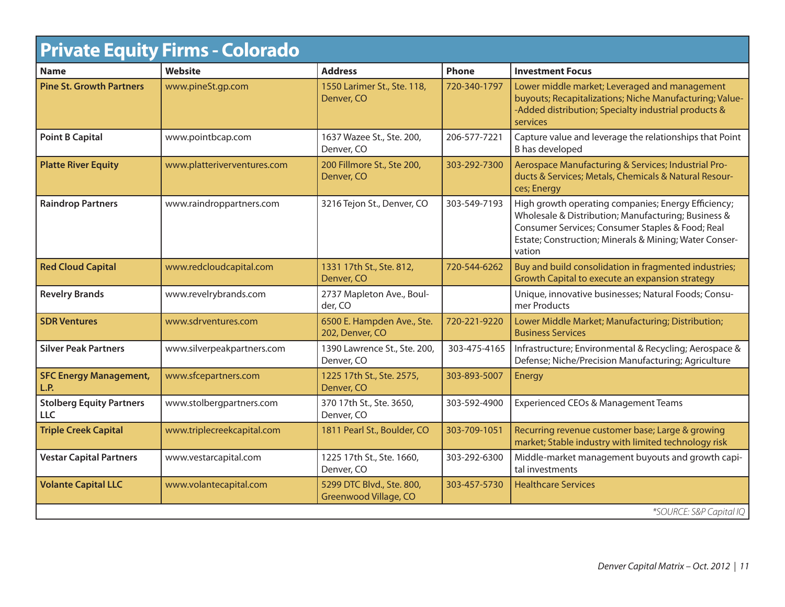| <b>Private Equity Firms - Colorado</b>  |                             |                                                    |              |                                                                                                                                                                                                                                    |
|-----------------------------------------|-----------------------------|----------------------------------------------------|--------------|------------------------------------------------------------------------------------------------------------------------------------------------------------------------------------------------------------------------------------|
| <b>Name</b>                             | <b>Website</b>              | <b>Address</b>                                     | Phone        | <b>Investment Focus</b>                                                                                                                                                                                                            |
| <b>Pine St. Growth Partners</b>         | www.pineSt.gp.com           | 1550 Larimer St., Ste. 118,<br>Denver, CO          | 720-340-1797 | Lower middle market; Leveraged and management<br>buyouts; Recapitalizations; Niche Manufacturing; Value-<br>-Added distribution; Specialty industrial products &<br><b>services</b>                                                |
| <b>Point B Capital</b>                  | www.pointbcap.com           | 1637 Wazee St., Ste. 200,<br>Denver, CO            | 206-577-7221 | Capture value and leverage the relationships that Point<br>B has developed                                                                                                                                                         |
| <b>Platte River Equity</b>              | www.platteriverventures.com | 200 Fillmore St., Ste 200,<br>Denver, CO           | 303-292-7300 | Aerospace Manufacturing & Services; Industrial Pro-<br>ducts & Services; Metals, Chemicals & Natural Resour-<br>ces; Energy                                                                                                        |
| <b>Raindrop Partners</b>                | www.raindroppartners.com    | 3216 Tejon St., Denver, CO                         | 303-549-7193 | High growth operating companies; Energy Efficiency;<br>Wholesale & Distribution; Manufacturing; Business &<br>Consumer Services; Consumer Staples & Food; Real<br>Estate; Construction; Minerals & Mining; Water Conser-<br>vation |
| <b>Red Cloud Capital</b>                | www.redcloudcapital.com     | 1331 17th St., Ste. 812,<br>Denver, CO             | 720-544-6262 | Buy and build consolidation in fragmented industries;<br>Growth Capital to execute an expansion strategy                                                                                                                           |
| <b>Revelry Brands</b>                   | www.revelrybrands.com       | 2737 Mapleton Ave., Boul-<br>der, CO               |              | Unique, innovative businesses; Natural Foods; Consu-<br>mer Products                                                                                                                                                               |
| <b>SDR Ventures</b>                     | www.sdrventures.com         | 6500 E. Hampden Ave., Ste.<br>202, Denver, CO      | 720-221-9220 | Lower Middle Market; Manufacturing; Distribution;<br><b>Business Services</b>                                                                                                                                                      |
| <b>Silver Peak Partners</b>             | www.silverpeakpartners.com  | 1390 Lawrence St., Ste. 200,<br>Denver, CO         | 303-475-4165 | Infrastructure; Environmental & Recycling; Aerospace &<br>Defense; Niche/Precision Manufacturing; Agriculture                                                                                                                      |
| <b>SFC Energy Management,</b><br>L.P.   | www.sfcepartners.com        | 1225 17th St., Ste. 2575,<br>Denver, CO            | 303-893-5007 | Energy                                                                                                                                                                                                                             |
| <b>Stolberg Equity Partners</b><br>LLC. | www.stolbergpartners.com    | 370 17th St., Ste. 3650,<br>Denver, CO             | 303-592-4900 | Experienced CEOs & Management Teams                                                                                                                                                                                                |
| <b>Triple Creek Capital</b>             | www.triplecreekcapital.com  | 1811 Pearl St., Boulder, CO                        | 303-709-1051 | Recurring revenue customer base; Large & growing<br>market; Stable industry with limited technology risk                                                                                                                           |
| <b>Vestar Capital Partners</b>          | www.vestarcapital.com       | 1225 17th St., Ste. 1660,<br>Denver, CO            | 303-292-6300 | Middle-market management buyouts and growth capi-<br>tal investments                                                                                                                                                               |
| <b>Volante Capital LLC</b>              | www.volantecapital.com      | 5299 DTC Blvd., Ste. 800,<br>Greenwood Village, CO | 303-457-5730 | <b>Healthcare Services</b>                                                                                                                                                                                                         |
|                                         | *SOURCE: S&P Capital IQ     |                                                    |              |                                                                                                                                                                                                                                    |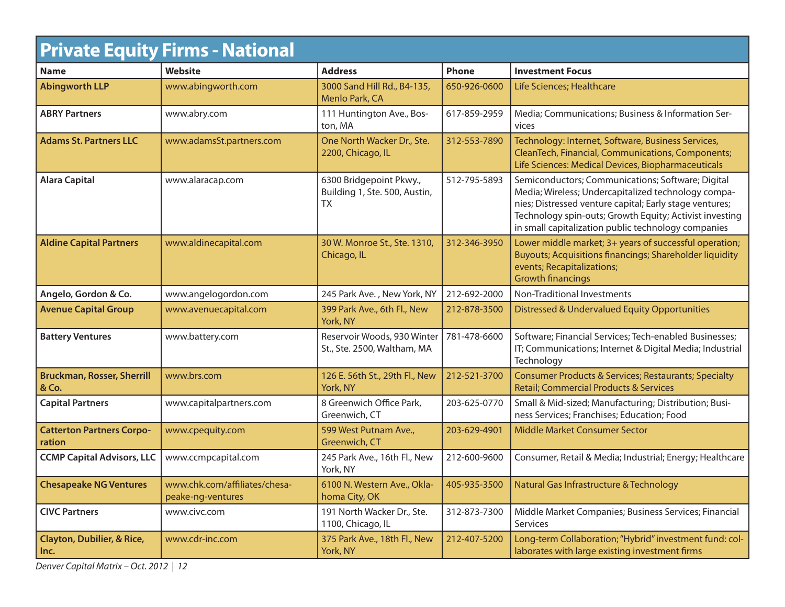| <b>Private Equity Firms - National</b>        |                                                    |                                                                       |              |                                                                                                                                                                                                                                                                                       |
|-----------------------------------------------|----------------------------------------------------|-----------------------------------------------------------------------|--------------|---------------------------------------------------------------------------------------------------------------------------------------------------------------------------------------------------------------------------------------------------------------------------------------|
| <b>Name</b>                                   | Website                                            | <b>Address</b>                                                        | <b>Phone</b> | <b>Investment Focus</b>                                                                                                                                                                                                                                                               |
| <b>Abingworth LLP</b>                         | www.abingworth.com                                 | 3000 Sand Hill Rd., B4-135,<br>Menlo Park, CA                         | 650-926-0600 | Life Sciences; Healthcare                                                                                                                                                                                                                                                             |
| <b>ABRY Partners</b>                          | www.abry.com                                       | 111 Huntington Ave., Bos-<br>ton, MA                                  | 617-859-2959 | Media; Communications; Business & Information Ser-<br>vices                                                                                                                                                                                                                           |
| <b>Adams St. Partners LLC</b>                 | www.adamsSt.partners.com                           | One North Wacker Dr., Ste.<br>2200, Chicago, IL                       | 312-553-7890 | Technology: Internet, Software, Business Services,<br>CleanTech, Financial, Communications, Components;<br>Life Sciences: Medical Devices, Biopharmaceuticals                                                                                                                         |
| <b>Alara Capital</b>                          | www.alaracap.com                                   | 6300 Bridgepoint Pkwy.,<br>Building 1, Ste. 500, Austin,<br><b>TX</b> | 512-795-5893 | Semiconductors; Communications; Software; Digital<br>Media; Wireless; Undercapitalized technology compa-<br>nies; Distressed venture capital; Early stage ventures;<br>Technology spin-outs; Growth Equity; Activist investing<br>in small capitalization public technology companies |
| <b>Aldine Capital Partners</b>                | www.aldinecapital.com                              | 30 W. Monroe St., Ste. 1310,<br>Chicago, IL                           | 312-346-3950 | Lower middle market; 3+ years of successful operation;<br>Buyouts; Acquisitions financings; Shareholder liquidity<br>events; Recapitalizations;<br><b>Growth financings</b>                                                                                                           |
| Angelo, Gordon & Co.                          | www.angelogordon.com                               | 245 Park Ave., New York, NY                                           | 212-692-2000 | Non-Traditional Investments                                                                                                                                                                                                                                                           |
| <b>Avenue Capital Group</b>                   | www.avenuecapital.com                              | 399 Park Ave., 6th Fl., New<br>York, NY                               | 212-878-3500 | Distressed & Undervalued Equity Opportunities                                                                                                                                                                                                                                         |
| <b>Battery Ventures</b>                       | www.battery.com                                    | Reservoir Woods, 930 Winter<br>St., Ste. 2500, Waltham, MA            | 781-478-6600 | Software; Financial Services; Tech-enabled Businesses;<br>IT; Communications; Internet & Digital Media; Industrial<br>Technology                                                                                                                                                      |
| <b>Bruckman, Rosser, Sherrill</b><br>& Co.    | www.brs.com                                        | 126 E. 56th St., 29th Fl., New<br>York, NY                            | 212-521-3700 | Consumer Products & Services; Restaurants; Specialty<br><b>Retail; Commercial Products &amp; Services</b>                                                                                                                                                                             |
| <b>Capital Partners</b>                       | www.capitalpartners.com                            | 8 Greenwich Office Park,<br>Greenwich, CT                             | 203-625-0770 | Small & Mid-sized; Manufacturing; Distribution; Busi-<br>ness Services; Franchises; Education; Food                                                                                                                                                                                   |
| <b>Catterton Partners Corpo-</b><br>ration    | www.cpequity.com                                   | 599 West Putnam Ave.,<br>Greenwich, CT                                | 203-629-4901 | <b>Middle Market Consumer Sector</b>                                                                                                                                                                                                                                                  |
| <b>CCMP Capital Advisors, LLC</b>             | www.ccmpcapital.com                                | 245 Park Ave., 16th Fl., New<br>York, NY                              | 212-600-9600 | Consumer, Retail & Media; Industrial; Energy; Healthcare                                                                                                                                                                                                                              |
| <b>Chesapeake NG Ventures</b>                 | www.chk.com/affiliates/chesa-<br>peake-ng-ventures | 6100 N. Western Ave., Okla-<br>homa City, OK                          | 405-935-3500 | Natural Gas Infrastructure & Technology                                                                                                                                                                                                                                               |
| <b>CIVC Partners</b>                          | www.civc.com                                       | 191 North Wacker Dr., Ste.<br>1100, Chicago, IL                       | 312-873-7300 | Middle Market Companies; Business Services; Financial<br>Services                                                                                                                                                                                                                     |
| <b>Clayton, Dubilier, &amp; Rice,</b><br>Inc. | www.cdr-inc.com                                    | 375 Park Ave., 18th Fl., New<br>York, NY                              | 212-407-5200 | Long-term Collaboration; "Hybrid" investment fund: col-<br>laborates with large existing investment firms                                                                                                                                                                             |

Denver Capital Matrix – Oct. 2012 | 12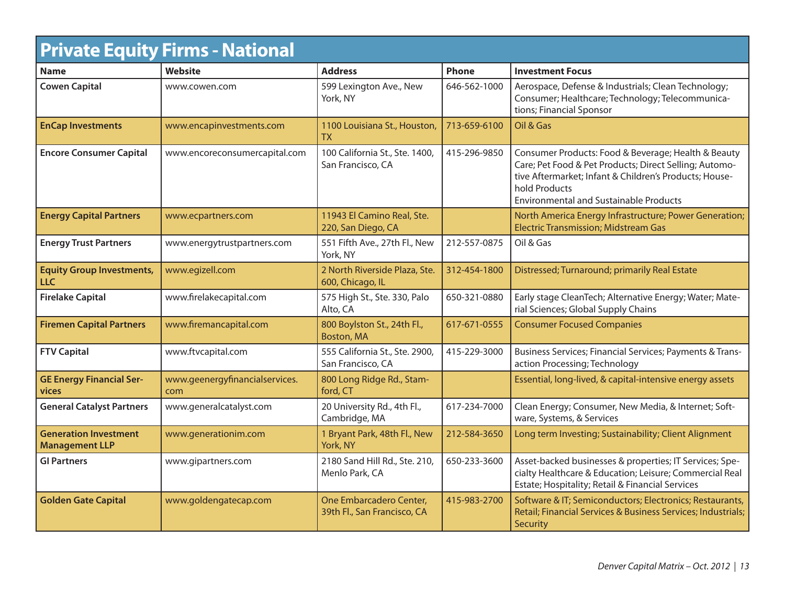| <b>Private Equity Firms - National</b>                |                                       |                                                        |              |                                                                                                                                                                                                                                           |  |
|-------------------------------------------------------|---------------------------------------|--------------------------------------------------------|--------------|-------------------------------------------------------------------------------------------------------------------------------------------------------------------------------------------------------------------------------------------|--|
| <b>Name</b>                                           | <b>Website</b>                        | <b>Address</b>                                         | Phone        | <b>Investment Focus</b>                                                                                                                                                                                                                   |  |
| <b>Cowen Capital</b>                                  | www.cowen.com                         | 599 Lexington Ave., New<br>York, NY                    | 646-562-1000 | Aerospace, Defense & Industrials; Clean Technology;<br>Consumer; Healthcare; Technology; Telecommunica-<br>tions; Financial Sponsor                                                                                                       |  |
| <b>EnCap Investments</b>                              | www.encapinvestments.com              | 1100 Louisiana St., Houston,<br>ТX                     | 713-659-6100 | Oil & Gas                                                                                                                                                                                                                                 |  |
| <b>Encore Consumer Capital</b>                        | www.encoreconsumercapital.com         | 100 California St., Ste. 1400,<br>San Francisco, CA    | 415-296-9850 | Consumer Products: Food & Beverage; Health & Beauty<br>Care; Pet Food & Pet Products; Direct Selling; Automo-<br>tive Aftermarket; Infant & Children's Products; House-<br>hold Products<br><b>Environmental and Sustainable Products</b> |  |
| <b>Energy Capital Partners</b>                        | www.ecpartners.com                    | 11943 El Camino Real, Ste.<br>220, San Diego, CA       |              | North America Energy Infrastructure; Power Generation;<br><b>Electric Transmission; Midstream Gas</b>                                                                                                                                     |  |
| <b>Energy Trust Partners</b>                          | www.energytrustpartners.com           | 551 Fifth Ave., 27th Fl., New<br>York, NY              | 212-557-0875 | Oil & Gas                                                                                                                                                                                                                                 |  |
| <b>Equity Group Investments,</b><br><b>LLC</b>        | www.egizell.com                       | 2 North Riverside Plaza, Ste.<br>600, Chicago, IL      | 312-454-1800 | Distressed; Turnaround; primarily Real Estate                                                                                                                                                                                             |  |
| <b>Firelake Capital</b>                               | www.firelakecapital.com               | 575 High St., Ste. 330, Palo<br>Alto, CA               | 650-321-0880 | Early stage CleanTech; Alternative Energy; Water; Mate-<br>rial Sciences; Global Supply Chains                                                                                                                                            |  |
| <b>Firemen Capital Partners</b>                       | www.firemancapital.com                | 800 Boylston St., 24th Fl.,<br>Boston, MA              | 617-671-0555 | <b>Consumer Focused Companies</b>                                                                                                                                                                                                         |  |
| <b>FTV Capital</b>                                    | www.ftvcapital.com                    | 555 California St., Ste. 2900,<br>San Francisco, CA    | 415-229-3000 | Business Services; Financial Services; Payments & Trans-<br>action Processing; Technology                                                                                                                                                 |  |
| <b>GE Energy Financial Ser-</b><br>vices              | www.geenergyfinancialservices.<br>com | 800 Long Ridge Rd., Stam-<br>ford, CT                  |              | Essential, long-lived, & capital-intensive energy assets                                                                                                                                                                                  |  |
| <b>General Catalyst Partners</b>                      | www.generalcatalyst.com               | 20 University Rd., 4th Fl.,<br>Cambridge, MA           | 617-234-7000 | Clean Energy; Consumer, New Media, & Internet; Soft-<br>ware, Systems, & Services                                                                                                                                                         |  |
| <b>Generation Investment</b><br><b>Management LLP</b> | www.generationim.com                  | 1 Bryant Park, 48th Fl., New<br>York, NY               | 212-584-3650 | Long term Investing; Sustainability; Client Alignment                                                                                                                                                                                     |  |
| <b>GI Partners</b>                                    | www.gipartners.com                    | 2180 Sand Hill Rd., Ste. 210,<br>Menlo Park, CA        | 650-233-3600 | Asset-backed businesses & properties; IT Services; Spe-<br>cialty Healthcare & Education; Leisure; Commercial Real<br>Estate; Hospitality; Retail & Financial Services                                                                    |  |
| <b>Golden Gate Capital</b>                            | www.goldengatecap.com                 | One Embarcadero Center,<br>39th Fl., San Francisco, CA | 415-983-2700 | Software & IT; Semiconductors; Electronics; Restaurants,<br>Retail; Financial Services & Business Services; Industrials;<br>Security                                                                                                      |  |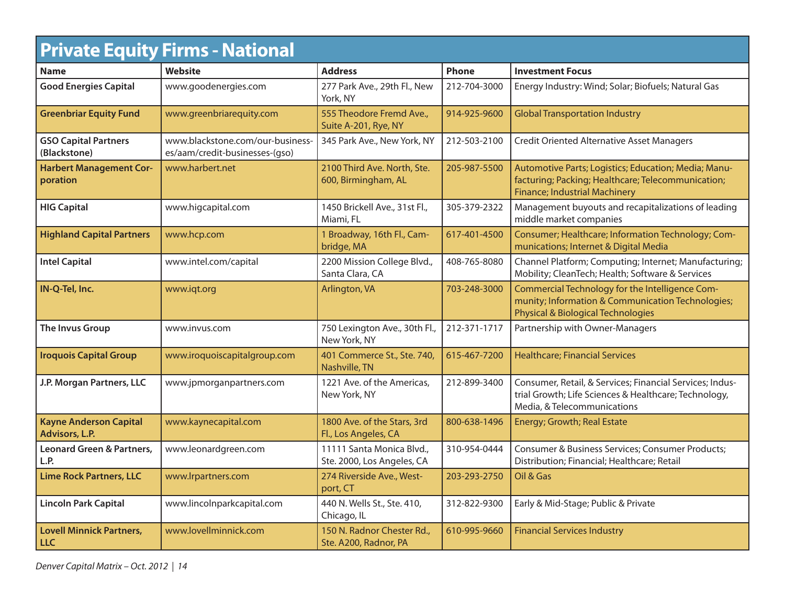| <b>Private Equity Firms - National</b>          |                                                                    |                                                         |              |                                                                                                                                                       |  |
|-------------------------------------------------|--------------------------------------------------------------------|---------------------------------------------------------|--------------|-------------------------------------------------------------------------------------------------------------------------------------------------------|--|
| <b>Name</b>                                     | <b>Website</b>                                                     | <b>Address</b>                                          | <b>Phone</b> | <b>Investment Focus</b>                                                                                                                               |  |
| <b>Good Energies Capital</b>                    | www.goodenergies.com                                               | 277 Park Ave., 29th Fl., New<br>York, NY                | 212-704-3000 | Energy Industry: Wind; Solar; Biofuels; Natural Gas                                                                                                   |  |
| <b>Greenbriar Equity Fund</b>                   | www.greenbriarequity.com                                           | 555 Theodore Fremd Ave.,<br>Suite A-201, Rye, NY        | 914-925-9600 | <b>Global Transportation Industry</b>                                                                                                                 |  |
| <b>GSO Capital Partners</b><br>(Blackstone)     | www.blackstone.com/our-business-<br>es/aam/credit-businesses-(gso) | 345 Park Ave., New York, NY                             | 212-503-2100 | <b>Credit Oriented Alternative Asset Managers</b>                                                                                                     |  |
| <b>Harbert Management Cor-</b><br>poration      | www.harbert.net                                                    | 2100 Third Ave. North, Ste.<br>600, Birmingham, AL      | 205-987-5500 | Automotive Parts; Logistics; Education; Media; Manu-<br>facturing; Packing; Healthcare; Telecommunication;<br><b>Finance; Industrial Machinery</b>    |  |
| <b>HIG Capital</b>                              | www.higcapital.com                                                 | 1450 Brickell Ave., 31st Fl.,<br>Miami, FL              | 305-379-2322 | Management buyouts and recapitalizations of leading<br>middle market companies                                                                        |  |
| <b>Highland Capital Partners</b>                | www.hcp.com                                                        | 1 Broadway, 16th Fl., Cam-<br>bridge, MA                | 617-401-4500 | Consumer; Healthcare; Information Technology; Com-<br>munications; Internet & Digital Media                                                           |  |
| <b>Intel Capital</b>                            | www.intel.com/capital                                              | 2200 Mission College Blvd.,<br>Santa Clara, CA          | 408-765-8080 | Channel Platform; Computing; Internet; Manufacturing;<br>Mobility; CleanTech; Health; Software & Services                                             |  |
| IN-Q-Tel, Inc.                                  | www.iqt.org                                                        | Arlington, VA                                           | 703-248-3000 | Commercial Technology for the Intelligence Com-<br>munity; Information & Communication Technologies;<br><b>Physical &amp; Biological Technologies</b> |  |
| <b>The Invus Group</b>                          | www.invus.com                                                      | 750 Lexington Ave., 30th Fl.,<br>New York, NY           | 212-371-1717 | Partnership with Owner-Managers                                                                                                                       |  |
| <b>Iroquois Capital Group</b>                   | www.iroquoiscapitalgroup.com                                       | 401 Commerce St., Ste. 740,<br>Nashville, TN            | 615-467-7200 | <b>Healthcare; Financial Services</b>                                                                                                                 |  |
| J.P. Morgan Partners, LLC                       | www.jpmorganpartners.com                                           | 1221 Ave. of the Americas,<br>New York, NY              | 212-899-3400 | Consumer, Retail, & Services; Financial Services; Indus-<br>trial Growth; Life Sciences & Healthcare; Technology,<br>Media, & Telecommunications      |  |
| <b>Kayne Anderson Capital</b><br>Advisors, L.P. | www.kaynecapital.com                                               | 1800 Ave. of the Stars, 3rd<br>Fl., Los Angeles, CA     | 800-638-1496 | Energy; Growth; Real Estate                                                                                                                           |  |
| <b>Leonard Green &amp; Partners,</b><br>L.P.    | www.leonardgreen.com                                               | 11111 Santa Monica Blvd.,<br>Ste. 2000, Los Angeles, CA | 310-954-0444 | Consumer & Business Services; Consumer Products;<br>Distribution; Financial; Healthcare; Retail                                                       |  |
| <b>Lime Rock Partners, LLC</b>                  | www.lrpartners.com                                                 | 274 Riverside Ave., West-<br>port, CT                   | 203-293-2750 | Oil & Gas                                                                                                                                             |  |
| <b>Lincoln Park Capital</b>                     | www.lincolnparkcapital.com                                         | 440 N. Wells St., Ste. 410,<br>Chicago, IL              | 312-822-9300 | Early & Mid-Stage; Public & Private                                                                                                                   |  |
| <b>Lovell Minnick Partners,</b><br><b>LLC</b>   | www.lovellminnick.com                                              | 150 N. Radnor Chester Rd.,<br>Ste. A200, Radnor, PA     | 610-995-9660 | <b>Financial Services Industry</b>                                                                                                                    |  |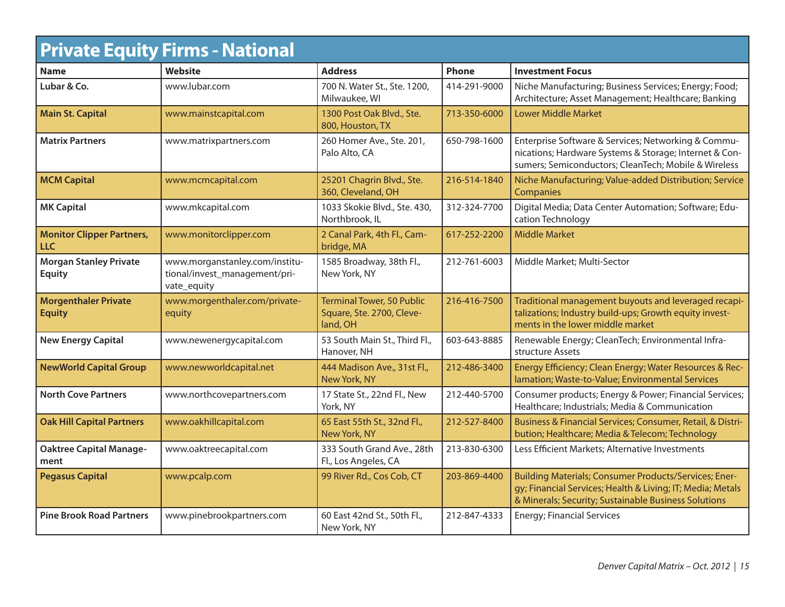|                                                | <b>Private Equity Firms - National</b>                                         |                                                                           |              |                                                                                                                                                                             |
|------------------------------------------------|--------------------------------------------------------------------------------|---------------------------------------------------------------------------|--------------|-----------------------------------------------------------------------------------------------------------------------------------------------------------------------------|
| <b>Name</b>                                    | <b>Website</b>                                                                 | <b>Address</b>                                                            | Phone        | <b>Investment Focus</b>                                                                                                                                                     |
| Lubar & Co.                                    | www.lubar.com                                                                  | 700 N. Water St., Ste. 1200,<br>Milwaukee, WI                             | 414-291-9000 | Niche Manufacturing; Business Services; Energy; Food;<br>Architecture; Asset Management; Healthcare; Banking                                                                |
| <b>Main St. Capital</b>                        | www.mainstcapital.com                                                          | 1300 Post Oak Blvd., Ste.<br>800, Houston, TX                             | 713-350-6000 | <b>Lower Middle Market</b>                                                                                                                                                  |
| <b>Matrix Partners</b>                         | www.matrixpartners.com                                                         | 260 Homer Ave., Ste. 201,<br>Palo Alto, CA                                | 650-798-1600 | Enterprise Software & Services; Networking & Commu-<br>nications; Hardware Systems & Storage; Internet & Con-<br>sumers; Semiconductors; CleanTech; Mobile & Wireless       |
| <b>MCM Capital</b>                             | www.mcmcapital.com                                                             | 25201 Chagrin Blvd., Ste.<br>360, Cleveland, OH                           | 216-514-1840 | Niche Manufacturing; Value-added Distribution; Service<br>Companies                                                                                                         |
| <b>MK Capital</b>                              | www.mkcapital.com                                                              | 1033 Skokie Blvd., Ste. 430,<br>Northbrook, IL                            | 312-324-7700 | Digital Media; Data Center Automation; Software; Edu-<br>cation Technology                                                                                                  |
| <b>Monitor Clipper Partners,</b><br><b>LLC</b> | www.monitorclipper.com                                                         | 2 Canal Park, 4th Fl., Cam-<br>bridge, MA                                 | 617-252-2200 | <b>Middle Market</b>                                                                                                                                                        |
| <b>Morgan Stanley Private</b><br><b>Equity</b> | www.morganstanley.com/institu-<br>tional/invest_management/pri-<br>vate_equity | 1585 Broadway, 38th Fl.,<br>New York, NY                                  | 212-761-6003 | Middle Market; Multi-Sector                                                                                                                                                 |
| <b>Morgenthaler Private</b><br><b>Equity</b>   | www.morgenthaler.com/private-<br>equity                                        | <b>Terminal Tower, 50 Public</b><br>Square, Ste. 2700, Cleve-<br>land, OH | 216-416-7500 | Traditional management buyouts and leveraged recapi-<br>talizations; Industry build-ups; Growth equity invest-<br>ments in the lower middle market                          |
| <b>New Energy Capital</b>                      | www.newenergycapital.com                                                       | 53 South Main St., Third Fl.,<br>Hanover, NH                              | 603-643-8885 | Renewable Energy; CleanTech; Environmental Infra-<br>structure Assets                                                                                                       |
| <b>NewWorld Capital Group</b>                  | www.newworldcapital.net                                                        | 444 Madison Ave., 31st Fl.,<br>New York, NY                               | 212-486-3400 | Energy Efficiency; Clean Energy; Water Resources & Rec-<br>lamation; Waste-to-Value; Environmental Services                                                                 |
| <b>North Cove Partners</b>                     | www.northcovepartners.com                                                      | 17 State St., 22nd Fl., New<br>York, NY                                   | 212-440-5700 | Consumer products; Energy & Power; Financial Services;<br>Healthcare; Industrials; Media & Communication                                                                    |
| <b>Oak Hill Capital Partners</b>               | www.oakhillcapital.com                                                         | 65 East 55th St., 32nd Fl.,<br>New York, NY                               | 212-527-8400 | Business & Financial Services; Consumer, Retail, & Distri-<br>bution; Healthcare; Media & Telecom; Technology                                                               |
| <b>Oaktree Capital Manage-</b><br>ment         | www.oaktreecapital.com                                                         | 333 South Grand Ave., 28th<br>Fl., Los Angeles, CA                        | 213-830-6300 | Less Efficient Markets; Alternative Investments                                                                                                                             |
| <b>Pegasus Capital</b>                         | www.pcalp.com                                                                  | 99 River Rd., Cos Cob, CT                                                 | 203-869-4400 | Building Materials; Consumer Products/Services; Ener-<br>gy; Financial Services; Health & Living; IT; Media; Metals<br>& Minerals; Security; Sustainable Business Solutions |
| <b>Pine Brook Road Partners</b>                | www.pinebrookpartners.com                                                      | 60 East 42nd St., 50th Fl.,<br>New York, NY                               | 212-847-4333 | <b>Energy; Financial Services</b>                                                                                                                                           |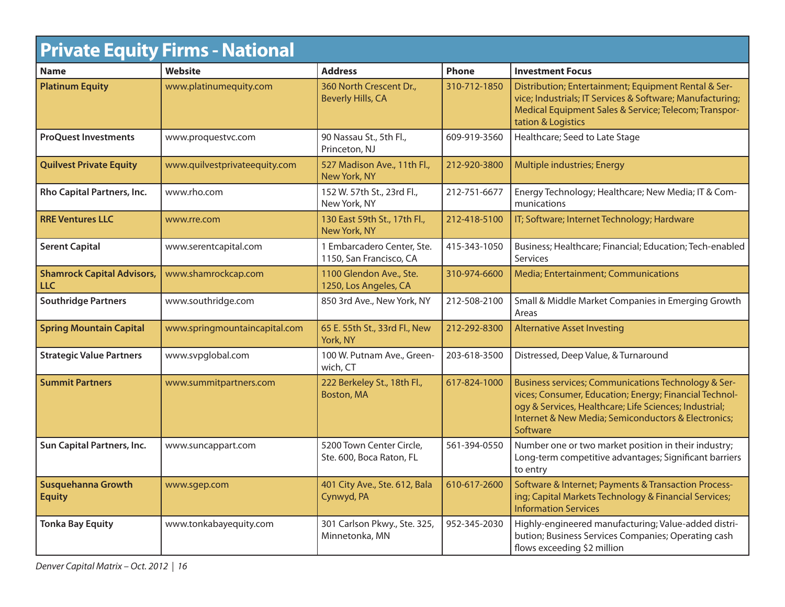|                                                 | <b>Private Equity Firms - National</b> |                                                       |              |                                                                                                                                                                                                                                            |
|-------------------------------------------------|----------------------------------------|-------------------------------------------------------|--------------|--------------------------------------------------------------------------------------------------------------------------------------------------------------------------------------------------------------------------------------------|
| <b>Name</b>                                     | <b>Website</b>                         | <b>Address</b>                                        | Phone        | <b>Investment Focus</b>                                                                                                                                                                                                                    |
| <b>Platinum Equity</b>                          | www.platinumequity.com                 | 360 North Crescent Dr.,<br><b>Beverly Hills, CA</b>   | 310-712-1850 | Distribution; Entertainment; Equipment Rental & Ser-<br>vice; Industrials; IT Services & Software; Manufacturing;<br>Medical Equipment Sales & Service; Telecom; Transpor-<br>tation & Logistics                                           |
| <b>ProQuest Investments</b>                     | www.proquestvc.com                     | 90 Nassau St., 5th Fl.,<br>Princeton, NJ              | 609-919-3560 | Healthcare; Seed to Late Stage                                                                                                                                                                                                             |
| <b>Quilvest Private Equity</b>                  | www.quilvestprivateequity.com          | 527 Madison Ave., 11th Fl.,<br>New York, NY           | 212-920-3800 | Multiple industries; Energy                                                                                                                                                                                                                |
| Rho Capital Partners, Inc.                      | www.rho.com                            | 152 W. 57th St., 23rd Fl.,<br>New York, NY            | 212-751-6677 | Energy Technology; Healthcare; New Media; IT & Com-<br>munications                                                                                                                                                                         |
| <b>RRE Ventures LLC</b>                         | www.rre.com                            | 130 East 59th St., 17th Fl.,<br>New York, NY          | 212-418-5100 | IT; Software; Internet Technology; Hardware                                                                                                                                                                                                |
| <b>Serent Capital</b>                           | www.serentcapital.com                  | 1 Embarcadero Center, Ste.<br>1150, San Francisco, CA | 415-343-1050 | Business; Healthcare; Financial; Education; Tech-enabled<br><b>Services</b>                                                                                                                                                                |
| <b>Shamrock Capital Advisors,</b><br><b>LLC</b> | www.shamrockcap.com                    | 1100 Glendon Ave., Ste.<br>1250, Los Angeles, CA      | 310-974-6600 | Media; Entertainment; Communications                                                                                                                                                                                                       |
| <b>Southridge Partners</b>                      | www.southridge.com                     | 850 3rd Ave., New York, NY                            | 212-508-2100 | Small & Middle Market Companies in Emerging Growth<br>Areas                                                                                                                                                                                |
| <b>Spring Mountain Capital</b>                  | www.springmountaincapital.com          | 65 E. 55th St., 33rd Fl., New<br>York, NY             | 212-292-8300 | <b>Alternative Asset Investing</b>                                                                                                                                                                                                         |
| <b>Strategic Value Partners</b>                 | www.svpglobal.com                      | 100 W. Putnam Ave., Green-<br>wich, CT                | 203-618-3500 | Distressed, Deep Value, & Turnaround                                                                                                                                                                                                       |
| <b>Summit Partners</b>                          | www.summitpartners.com                 | 222 Berkeley St., 18th Fl.,<br><b>Boston, MA</b>      | 617-824-1000 | Business services; Communications Technology & Ser-<br>vices; Consumer, Education; Energy; Financial Technol-<br>ogy & Services, Healthcare; Life Sciences; Industrial;<br>Internet & New Media; Semiconductors & Electronics;<br>Software |
| Sun Capital Partners, Inc.                      | www.suncappart.com                     | 5200 Town Center Circle,<br>Ste. 600, Boca Raton, FL  | 561-394-0550 | Number one or two market position in their industry;<br>Long-term competitive advantages; Significant barriers<br>to entry                                                                                                                 |
| <b>Susquehanna Growth</b><br><b>Equity</b>      | www.sgep.com                           | 401 City Ave., Ste. 612, Bala<br>Cynwyd, PA           | 610-617-2600 | Software & Internet; Payments & Transaction Process-<br>ing; Capital Markets Technology & Financial Services;<br><b>Information Services</b>                                                                                               |
| <b>Tonka Bay Equity</b>                         | www.tonkabayequity.com                 | 301 Carlson Pkwy., Ste. 325,<br>Minnetonka, MN        | 952-345-2030 | Highly-engineered manufacturing; Value-added distri-<br>bution; Business Services Companies; Operating cash<br>flows exceeding \$2 million                                                                                                 |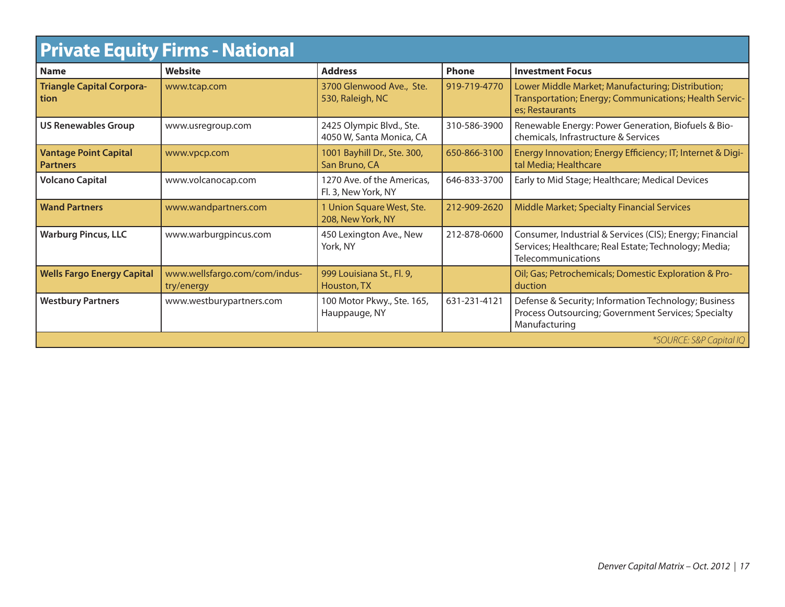| <b>Private Equity Firms - National</b>          |                                             |                                                      |              |                                                                                                                                         |
|-------------------------------------------------|---------------------------------------------|------------------------------------------------------|--------------|-----------------------------------------------------------------------------------------------------------------------------------------|
| <b>Name</b>                                     | <b>Website</b>                              | <b>Address</b>                                       | Phone        | <b>Investment Focus</b>                                                                                                                 |
| <b>Triangle Capital Corpora-</b><br>tion        | www.tcap.com                                | 3700 Glenwood Ave., Ste.<br>530, Raleigh, NC         | 919-719-4770 | Lower Middle Market; Manufacturing; Distribution;<br>Transportation; Energy; Communications; Health Servic-<br>es: Restaurants          |
| <b>US Renewables Group</b>                      | www.usregroup.com                           | 2425 Olympic Blvd., Ste.<br>4050 W, Santa Monica, CA | 310-586-3900 | Renewable Energy: Power Generation, Biofuels & Bio-<br>chemicals, Infrastructure & Services                                             |
| <b>Vantage Point Capital</b><br><b>Partners</b> | www.vpcp.com                                | 1001 Bayhill Dr., Ste. 300,<br>San Bruno, CA         | 650-866-3100 | Energy Innovation; Energy Efficiency; IT; Internet & Digi-<br>tal Media; Healthcare                                                     |
| <b>Volcano Capital</b>                          | www.volcanocap.com                          | 1270 Ave. of the Americas,<br>Fl. 3, New York, NY    | 646-833-3700 | Early to Mid Stage; Healthcare; Medical Devices                                                                                         |
| <b>Wand Partners</b>                            | www.wandpartners.com                        | 1 Union Square West, Ste.<br>208, New York, NY       | 212-909-2620 | Middle Market; Specialty Financial Services                                                                                             |
| <b>Warburg Pincus, LLC</b>                      | www.warburgpincus.com                       | 450 Lexington Ave., New<br>York, NY                  | 212-878-0600 | Consumer, Industrial & Services (CIS); Energy; Financial<br>Services; Healthcare; Real Estate; Technology; Media;<br>Telecommunications |
| <b>Wells Fargo Energy Capital</b>               | www.wellsfargo.com/com/indus-<br>try/energy | 999 Louisiana St., Fl. 9,<br>Houston, TX             |              | Oil; Gas; Petrochemicals; Domestic Exploration & Pro-<br>duction                                                                        |
| <b>Westbury Partners</b>                        | www.westburypartners.com                    | 100 Motor Pkwy., Ste. 165,<br>Hauppauge, NY          | 631-231-4121 | Defense & Security; Information Technology; Business<br>Process Outsourcing; Government Services; Specialty<br>Manufacturing            |
| *SOURCE: S&P Capital IQ                         |                                             |                                                      |              |                                                                                                                                         |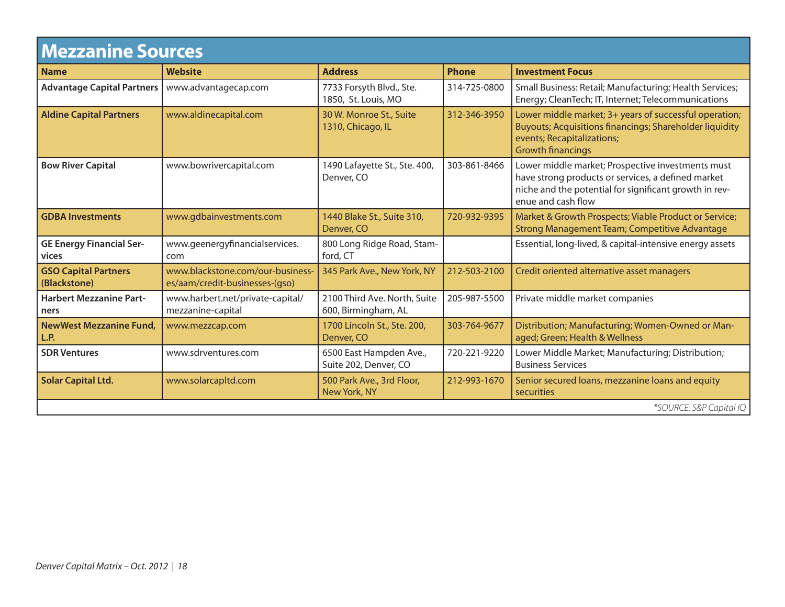## **Mezzanine Sources**

| INGLLUI III IC YVUI CCY                     |                                                                    |                                                     |              |                                                                                                                                                                                         |
|---------------------------------------------|--------------------------------------------------------------------|-----------------------------------------------------|--------------|-----------------------------------------------------------------------------------------------------------------------------------------------------------------------------------------|
| <b>Name</b>                                 | <b>Website</b>                                                     | <b>Address</b>                                      | <b>Phone</b> | <b>Investment Focus</b>                                                                                                                                                                 |
| <b>Advantage Capital Partners</b>           | www.advantagecap.com                                               | 7733 Forsyth Blvd., Ste.<br>1850, St. Louis, MO     | 314-725-0800 | Small Business: Retail; Manufacturing; Health Services;<br>Energy; CleanTech; IT, Internet; Telecommunications                                                                          |
| <b>Aldine Capital Partners</b>              | www.aldinecapital.com                                              | 30 W. Monroe St., Suite<br>1310, Chicago, IL        | 312-346-3950 | Lower middle market; 3+ years of successful operation;<br>Buyouts; Acquisitions financings; Shareholder liquidity<br>events; Recapitalizations;<br><b>Growth financings</b>             |
| <b>Bow River Capital</b>                    | www.bowrivercapital.com                                            | 1490 Lafayette St., Ste. 400,<br>Denver, CO         | 303-861-8466 | Lower middle market; Prospective investments must<br>have strong products or services, a defined market<br>niche and the potential for significant growth in rev-<br>enue and cash flow |
| <b>GDBA Investments</b>                     | www.gdbainvestments.com                                            | 1440 Blake St., Suite 310,<br>Denver, CO            | 720-932-9395 | Market & Growth Prospects; Viable Product or Service;<br>Strong Management Team; Competitive Advantage                                                                                  |
| <b>GE Energy Financial Ser-</b><br>vices    | www.geenergyfinancialservices.<br>com                              | 800 Long Ridge Road, Stam-<br>ford, CT              |              | Essential, long-lived, & capital-intensive energy assets                                                                                                                                |
| <b>GSO Capital Partners</b><br>(Blackstone) | www.blackstone.com/our-business-<br>es/aam/credit-businesses-(gso) | 345 Park Ave., New York, NY                         | 212-503-2100 | Credit oriented alternative asset managers                                                                                                                                              |
| <b>Harbert Mezzanine Part-</b><br>ners      | www.harbert.net/private-capital/<br>mezzanine-capital              | 2100 Third Ave. North, Suite<br>600, Birmingham, AL | 205-987-5500 | Private middle market companies                                                                                                                                                         |
| <b>NewWest Mezzanine Fund,</b><br>L.P.      | www.mezzcap.com                                                    | 1700 Lincoln St., Ste. 200,<br>Denver, CO           | 303-764-9677 | Distribution; Manufacturing; Women-Owned or Man-<br>aged; Green; Health & Wellness                                                                                                      |
| <b>SDR Ventures</b>                         | www.sdrventures.com                                                | 6500 East Hampden Ave.,<br>Suite 202, Denver, CO    | 720-221-9220 | Lower Middle Market; Manufacturing; Distribution;<br><b>Business Services</b>                                                                                                           |
| <b>Solar Capital Ltd.</b>                   | www.solarcapltd.com                                                | 500 Park Ave., 3rd Floor,<br>New York, NY           | 212-993-1670 | Senior secured loans, mezzanine loans and equity<br>securities                                                                                                                          |
| *SOURCE: S&P Capital IQ                     |                                                                    |                                                     |              |                                                                                                                                                                                         |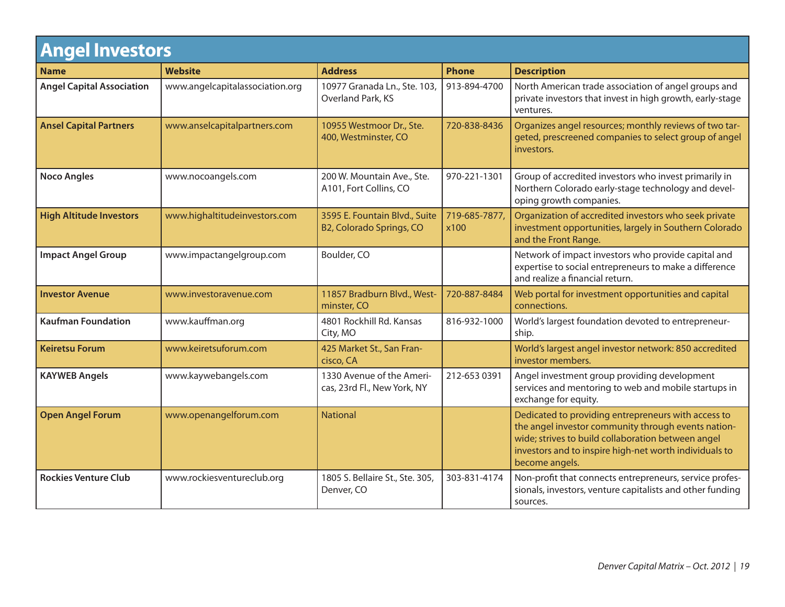| <b>Angel Investors</b>           |                                 |                                                           |                      |                                                                                                                                                                                                                                              |
|----------------------------------|---------------------------------|-----------------------------------------------------------|----------------------|----------------------------------------------------------------------------------------------------------------------------------------------------------------------------------------------------------------------------------------------|
| <b>Name</b>                      | <b>Website</b>                  | <b>Address</b>                                            | <b>Phone</b>         | <b>Description</b>                                                                                                                                                                                                                           |
| <b>Angel Capital Association</b> | www.angelcapitalassociation.org | 10977 Granada Ln., Ste. 103,<br>Overland Park, KS         | 913-894-4700         | North American trade association of angel groups and<br>private investors that invest in high growth, early-stage<br>ventures.                                                                                                               |
| <b>Ansel Capital Partners</b>    | www.anselcapitalpartners.com    | 10955 Westmoor Dr., Ste.<br>400, Westminster, CO          | 720-838-8436         | Organizes angel resources; monthly reviews of two tar-<br>geted, prescreened companies to select group of angel<br>investors.                                                                                                                |
| <b>Noco Angles</b>               | www.nocoangels.com              | 200 W. Mountain Ave., Ste.<br>A101, Fort Collins, CO      | 970-221-1301         | Group of accredited investors who invest primarily in<br>Northern Colorado early-stage technology and devel-<br>oping growth companies.                                                                                                      |
| <b>High Altitude Investors</b>   | www.highaltitudeinvestors.com   | 3595 E. Fountain Blvd., Suite<br>B2, Colorado Springs, CO | 719-685-7877<br>x100 | Organization of accredited investors who seek private<br>investment opportunities, largely in Southern Colorado<br>and the Front Range.                                                                                                      |
| <b>Impact Angel Group</b>        | www.impactangelgroup.com        | Boulder, CO                                               |                      | Network of impact investors who provide capital and<br>expertise to social entrepreneurs to make a difference<br>and realize a financial return.                                                                                             |
| <b>Investor Avenue</b>           | www.investoravenue.com          | 11857 Bradburn Blvd., West-<br>minster, CO                | 720-887-8484         | Web portal for investment opportunities and capital<br>connections.                                                                                                                                                                          |
| <b>Kaufman Foundation</b>        | www.kauffman.org                | 4801 Rockhill Rd. Kansas<br>City, MO                      | 816-932-1000         | World's largest foundation devoted to entrepreneur-<br>ship.                                                                                                                                                                                 |
| <b>Keiretsu Forum</b>            | www.keiretsuforum.com           | 425 Market St., San Fran-<br>cisco, CA                    |                      | World's largest angel investor network: 850 accredited<br>investor members.                                                                                                                                                                  |
| <b>KAYWEB Angels</b>             | www.kaywebangels.com            | 1330 Avenue of the Ameri-<br>cas, 23rd Fl., New York, NY  | 212-653 0391         | Angel investment group providing development<br>services and mentoring to web and mobile startups in<br>exchange for equity.                                                                                                                 |
| <b>Open Angel Forum</b>          | www.openangelforum.com          | <b>National</b>                                           |                      | Dedicated to providing entrepreneurs with access to<br>the angel investor community through events nation-<br>wide; strives to build collaboration between angel<br>investors and to inspire high-net worth individuals to<br>become angels. |
| <b>Rockies Venture Club</b>      | www.rockiesventureclub.org      | 1805 S. Bellaire St., Ste. 305,<br>Denver, CO             | 303-831-4174         | Non-profit that connects entrepreneurs, service profes-<br>sionals, investors, venture capitalists and other funding<br>sources.                                                                                                             |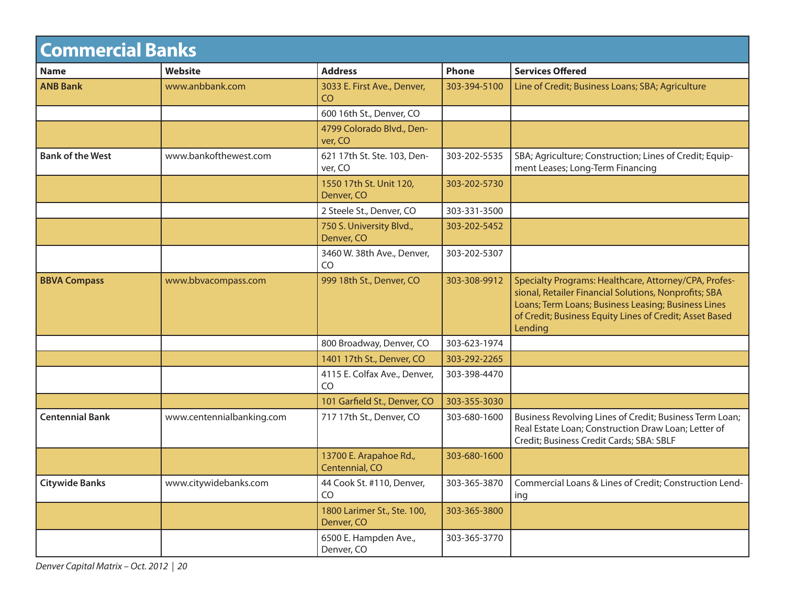| <b>Commercial Banks</b> |                           |                                           |              |                                                                                                                                                                                                                                             |
|-------------------------|---------------------------|-------------------------------------------|--------------|---------------------------------------------------------------------------------------------------------------------------------------------------------------------------------------------------------------------------------------------|
| <b>Name</b>             | <b>Website</b>            | <b>Address</b>                            | Phone        | <b>Services Offered</b>                                                                                                                                                                                                                     |
| <b>ANB Bank</b>         | www.anbbank.com           | 3033 E. First Ave., Denver,<br><b>CO</b>  | 303-394-5100 | Line of Credit; Business Loans; SBA; Agriculture                                                                                                                                                                                            |
|                         |                           | 600 16th St., Denver, CO                  |              |                                                                                                                                                                                                                                             |
|                         |                           | 4799 Colorado Blvd., Den-<br>ver, CO      |              |                                                                                                                                                                                                                                             |
| <b>Bank of the West</b> | www.bankofthewest.com     | 621 17th St. Ste. 103, Den-<br>ver, CO    | 303-202-5535 | SBA; Agriculture; Construction; Lines of Credit; Equip-<br>ment Leases; Long-Term Financing                                                                                                                                                 |
|                         |                           | 1550 17th St. Unit 120,<br>Denver, CO     | 303-202-5730 |                                                                                                                                                                                                                                             |
|                         |                           | 2 Steele St., Denver, CO                  | 303-331-3500 |                                                                                                                                                                                                                                             |
|                         |                           | 750 S. University Blvd.,<br>Denver, CO    | 303-202-5452 |                                                                                                                                                                                                                                             |
|                         |                           | 3460 W. 38th Ave., Denver,<br>CO          | 303-202-5307 |                                                                                                                                                                                                                                             |
| <b>BBVA Compass</b>     | www.bbvacompass.com       | 999 18th St., Denver, CO                  | 303-308-9912 | Specialty Programs: Healthcare, Attorney/CPA, Profes-<br>sional, Retailer Financial Solutions, Nonprofits; SBA<br>Loans; Term Loans; Business Leasing; Business Lines<br>of Credit; Business Equity Lines of Credit; Asset Based<br>Lending |
|                         |                           | 800 Broadway, Denver, CO                  | 303-623-1974 |                                                                                                                                                                                                                                             |
|                         |                           | 1401 17th St., Denver, CO                 | 303-292-2265 |                                                                                                                                                                                                                                             |
|                         |                           | 4115 E. Colfax Ave., Denver,<br>CO        | 303-398-4470 |                                                                                                                                                                                                                                             |
|                         |                           | 101 Garfield St., Denver, CO              | 303-355-3030 |                                                                                                                                                                                                                                             |
| <b>Centennial Bank</b>  | www.centennialbanking.com | 717 17th St., Denver, CO                  | 303-680-1600 | Business Revolving Lines of Credit; Business Term Loan;<br>Real Estate Loan; Construction Draw Loan; Letter of<br>Credit; Business Credit Cards; SBA: SBLF                                                                                  |
|                         |                           | 13700 E. Arapahoe Rd.,<br>Centennial, CO  | 303-680-1600 |                                                                                                                                                                                                                                             |
| Citywide Banks          | www.citywidebanks.com     | 44 Cook St. #110, Denver,<br>CO           | 303-365-3870 | Commercial Loans & Lines of Credit; Construction Lend-<br>ing                                                                                                                                                                               |
|                         |                           | 1800 Larimer St., Ste. 100,<br>Denver, CO | 303-365-3800 |                                                                                                                                                                                                                                             |
|                         |                           | 6500 E. Hampden Ave.,<br>Denver, CO       | 303-365-3770 |                                                                                                                                                                                                                                             |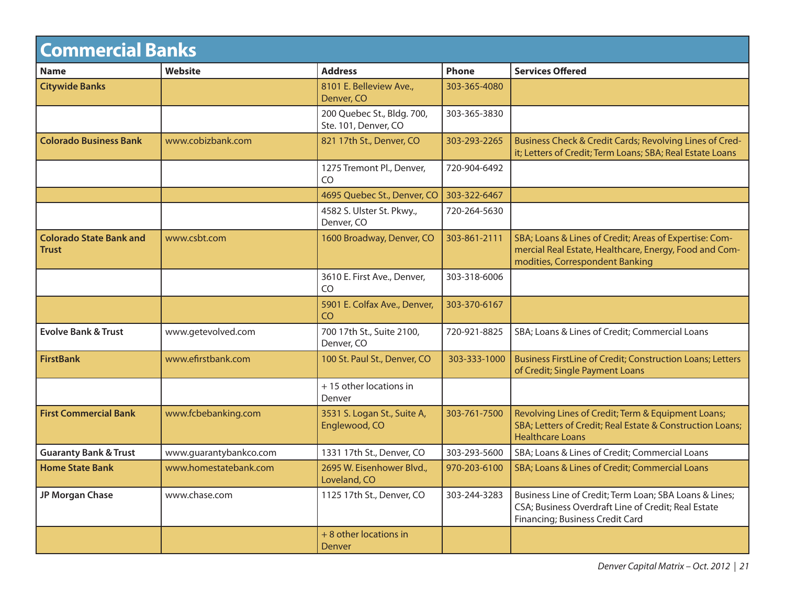| <b>Commercial Banks</b>                        |                        |                                                    |              |                                                                                                                                                     |
|------------------------------------------------|------------------------|----------------------------------------------------|--------------|-----------------------------------------------------------------------------------------------------------------------------------------------------|
| <b>Name</b>                                    | <b>Website</b>         | <b>Address</b>                                     | <b>Phone</b> | <b>Services Offered</b>                                                                                                                             |
| <b>Citywide Banks</b>                          |                        | 8101 E. Belleview Ave.,<br>Denver, CO              | 303-365-4080 |                                                                                                                                                     |
|                                                |                        | 200 Quebec St., Bldg. 700,<br>Ste. 101, Denver, CO | 303-365-3830 |                                                                                                                                                     |
| <b>Colorado Business Bank</b>                  | www.cobizbank.com      | 821 17th St., Denver, CO                           | 303-293-2265 | Business Check & Credit Cards; Revolving Lines of Cred-<br>it; Letters of Credit; Term Loans; SBA; Real Estate Loans                                |
|                                                |                        | 1275 Tremont Pl., Denver,<br>CO.                   | 720-904-6492 |                                                                                                                                                     |
|                                                |                        | 4695 Quebec St., Denver, CO                        | 303-322-6467 |                                                                                                                                                     |
|                                                |                        | 4582 S. Ulster St. Pkwy.,<br>Denver, CO            | 720-264-5630 |                                                                                                                                                     |
| <b>Colorado State Bank and</b><br><b>Trust</b> | www.csbt.com           | 1600 Broadway, Denver, CO                          | 303-861-2111 | SBA; Loans & Lines of Credit; Areas of Expertise: Com-<br>mercial Real Estate, Healthcare, Energy, Food and Com-<br>modities, Correspondent Banking |
|                                                |                        | 3610 E. First Ave., Denver,<br>CO                  | 303-318-6006 |                                                                                                                                                     |
|                                                |                        | 5901 E. Colfax Ave., Denver,<br>CO                 | 303-370-6167 |                                                                                                                                                     |
| <b>Evolve Bank &amp; Trust</b>                 | www.getevolved.com     | 700 17th St., Suite 2100,<br>Denver, CO            | 720-921-8825 | SBA; Loans & Lines of Credit; Commercial Loans                                                                                                      |
| <b>FirstBank</b>                               | www.efirstbank.com     | 100 St. Paul St., Denver, CO                       | 303-333-1000 | Business FirstLine of Credit; Construction Loans; Letters<br>of Credit; Single Payment Loans                                                        |
|                                                |                        | +15 other locations in<br>Denver                   |              |                                                                                                                                                     |
| <b>First Commercial Bank</b>                   | www.fcbebanking.com    | 3531 S. Logan St., Suite A,<br>Englewood, CO       | 303-761-7500 | Revolving Lines of Credit; Term & Equipment Loans;<br>SBA; Letters of Credit; Real Estate & Construction Loans;<br><b>Healthcare Loans</b>          |
| <b>Guaranty Bank &amp; Trust</b>               | www.guarantybankco.com | 1331 17th St., Denver, CO                          | 303-293-5600 | SBA; Loans & Lines of Credit; Commercial Loans                                                                                                      |
| <b>Home State Bank</b>                         | www.homestatebank.com  | 2695 W. Eisenhower Blvd.,<br>Loveland, CO          | 970-203-6100 | SBA; Loans & Lines of Credit; Commercial Loans                                                                                                      |
| JP Morgan Chase                                | www.chase.com          | 1125 17th St., Denver, CO                          | 303-244-3283 | Business Line of Credit; Term Loan; SBA Loans & Lines;<br>CSA; Business Overdraft Line of Credit; Real Estate<br>Financing; Business Credit Card    |
|                                                |                        | + 8 other locations in<br>Denver                   |              |                                                                                                                                                     |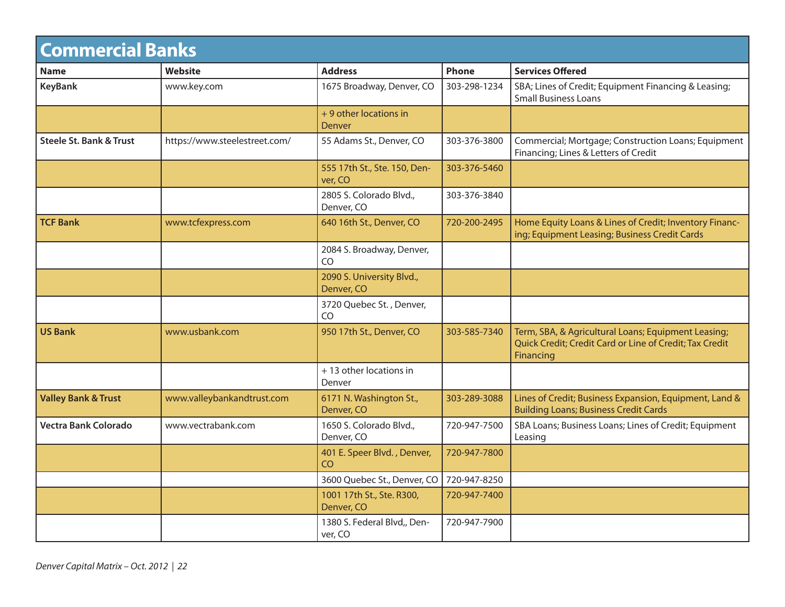| <b>Commercial Banks</b>            |                               |                                             |              |                                                                                                                             |
|------------------------------------|-------------------------------|---------------------------------------------|--------------|-----------------------------------------------------------------------------------------------------------------------------|
| <b>Name</b>                        | <b>Website</b>                | <b>Address</b>                              | <b>Phone</b> | <b>Services Offered</b>                                                                                                     |
| <b>KeyBank</b>                     | www.key.com                   | 1675 Broadway, Denver, CO                   | 303-298-1234 | SBA; Lines of Credit; Equipment Financing & Leasing;<br><b>Small Business Loans</b>                                         |
|                                    |                               | + 9 other locations in<br>Denver            |              |                                                                                                                             |
| <b>Steele St. Bank &amp; Trust</b> | https://www.steelestreet.com/ | 55 Adams St., Denver, CO                    | 303-376-3800 | Commercial; Mortgage; Construction Loans; Equipment<br>Financing; Lines & Letters of Credit                                 |
|                                    |                               | 555 17th St., Ste. 150, Den-<br>ver, CO     | 303-376-5460 |                                                                                                                             |
|                                    |                               | 2805 S. Colorado Blvd.,<br>Denver, CO       | 303-376-3840 |                                                                                                                             |
| <b>TCF Bank</b>                    | www.tcfexpress.com            | 640 16th St., Denver, CO                    | 720-200-2495 | Home Equity Loans & Lines of Credit; Inventory Financ-<br>ing; Equipment Leasing; Business Credit Cards                     |
|                                    |                               | 2084 S. Broadway, Denver,<br>C <sub>O</sub> |              |                                                                                                                             |
|                                    |                               | 2090 S. University Blvd.,<br>Denver, CO     |              |                                                                                                                             |
|                                    |                               | 3720 Quebec St., Denver,<br>C <sub>O</sub>  |              |                                                                                                                             |
| <b>US Bank</b>                     | www.usbank.com                | 950 17th St., Denver, CO                    | 303-585-7340 | Term, SBA, & Agricultural Loans; Equipment Leasing;<br>Quick Credit; Credit Card or Line of Credit; Tax Credit<br>Financing |
|                                    |                               | +13 other locations in<br>Denver            |              |                                                                                                                             |
| <b>Valley Bank &amp; Trust</b>     | www.valleybankandtrust.com    | 6171 N. Washington St.,<br>Denver, CO       | 303-289-3088 | Lines of Credit; Business Expansion, Equipment, Land &<br><b>Building Loans; Business Credit Cards</b>                      |
| Vectra Bank Colorado               | www.vectrabank.com            | 1650 S. Colorado Blvd.,<br>Denver, CO       | 720-947-7500 | SBA Loans; Business Loans; Lines of Credit; Equipment<br>Leasing                                                            |
|                                    |                               | 401 E. Speer Blvd., Denver,<br>CO           | 720-947-7800 |                                                                                                                             |
|                                    |                               | 3600 Quebec St., Denver, CO                 | 720-947-8250 |                                                                                                                             |
|                                    |                               | 1001 17th St., Ste. R300,<br>Denver, CO     | 720-947-7400 |                                                                                                                             |
|                                    |                               | 1380 S. Federal Blvd,, Den-<br>ver, CO      | 720-947-7900 |                                                                                                                             |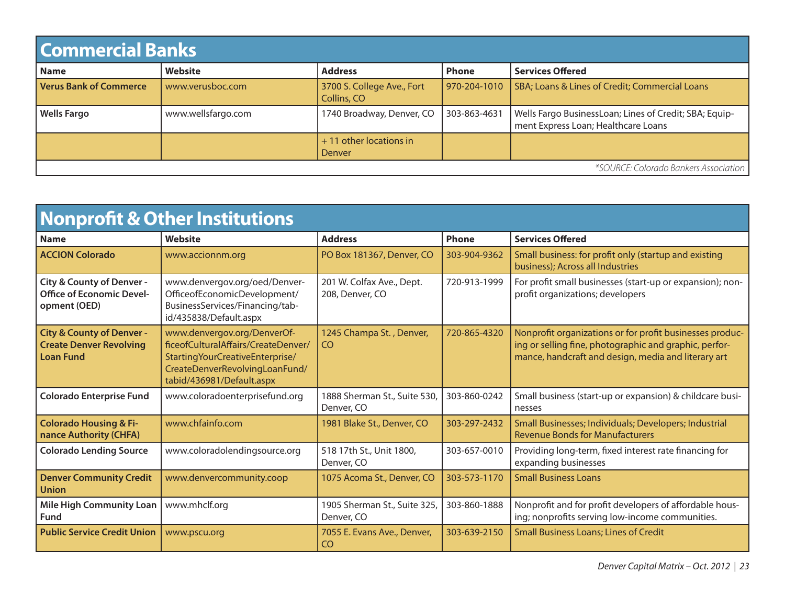| <b>Commercial Banks</b>               |                    |                                           |              |                                                                                               |
|---------------------------------------|--------------------|-------------------------------------------|--------------|-----------------------------------------------------------------------------------------------|
| <b>Name</b>                           | Website            | <b>Address</b>                            | <b>Phone</b> | <b>Services Offered</b>                                                                       |
| <b>Verus Bank of Commerce</b>         | www.verusboc.com   | 3700 S. College Ave., Fort<br>Collins, CO | 970-204-1010 | SBA; Loans & Lines of Credit; Commercial Loans                                                |
| <b>Wells Fargo</b>                    | www.wellsfargo.com | 1740 Broadway, Denver, CO                 | 303-863-4631 | Wells Fargo BusinessLoan; Lines of Credit; SBA; Equip-<br>ment Express Loan; Healthcare Loans |
|                                       |                    | $+11$ other locations in<br>Denver        |              |                                                                                               |
| *SOURCE: Colorado Bankers Association |                    |                                           |              |                                                                                               |

| Nonprofit & Other Institutions                                                             |                                                                                                                                                                         |                                              |              |                                                                                                                                                                           |
|--------------------------------------------------------------------------------------------|-------------------------------------------------------------------------------------------------------------------------------------------------------------------------|----------------------------------------------|--------------|---------------------------------------------------------------------------------------------------------------------------------------------------------------------------|
| <b>Name</b>                                                                                | Website                                                                                                                                                                 | <b>Address</b>                               | Phone        | <b>Services Offered</b>                                                                                                                                                   |
| <b>ACCION Colorado</b>                                                                     | www.accionnm.org                                                                                                                                                        | PO Box 181367, Denver, CO                    | 303-904-9362 | Small business: for profit only (startup and existing<br>business); Across all Industries                                                                                 |
| City & County of Denver -<br><b>Office of Economic Devel-</b><br>opment (OED)              | www.denvergov.org/oed/Denver-<br>OfficeofEconomicDevelopment/<br>BusinessServices/Financing/tab-<br>id/435838/Default.aspx                                              | 201 W. Colfax Ave., Dept.<br>208, Denver, CO | 720-913-1999 | For profit small businesses (start-up or expansion); non-<br>profit organizations; developers                                                                             |
| <b>City &amp; County of Denver -</b><br><b>Create Denver Revolving</b><br><b>Loan Fund</b> | www.denvergov.org/DenverOf-<br>ficeofCulturalAffairs/CreateDenver/<br>Starting Your Creative Enterprise/<br>CreateDenverRevolvingLoanFund/<br>tabid/436981/Default.aspx | 1245 Champa St., Denver,<br>CO.              | 720-865-4320 | Nonprofit organizations or for profit businesses produc-<br>ing or selling fine, photographic and graphic, perfor-<br>mance, handcraft and design, media and literary art |
| <b>Colorado Enterprise Fund</b>                                                            | www.coloradoenterprisefund.org                                                                                                                                          | 1888 Sherman St., Suite 530,<br>Denver, CO   | 303-860-0242 | Small business (start-up or expansion) & childcare busi-<br>nesses                                                                                                        |
| <b>Colorado Housing &amp; Fi-</b><br>nance Authority (CHFA)                                | www.chfainfo.com                                                                                                                                                        | 1981 Blake St., Denver, CO                   | 303-297-2432 | Small Businesses; Individuals; Developers; Industrial<br><b>Revenue Bonds for Manufacturers</b>                                                                           |
| <b>Colorado Lending Source</b>                                                             | www.coloradolendingsource.org                                                                                                                                           | 518 17th St., Unit 1800,<br>Denver, CO       | 303-657-0010 | Providing long-term, fixed interest rate financing for<br>expanding businesses                                                                                            |
| <b>Denver Community Credit</b><br><b>Union</b>                                             | www.denvercommunity.coop                                                                                                                                                | 1075 Acoma St., Denver, CO                   | 303-573-1170 | <b>Small Business Loans</b>                                                                                                                                               |
| <b>Mile High Community Loan</b><br>Fund                                                    | www.mhclf.org                                                                                                                                                           | 1905 Sherman St., Suite 325,<br>Denver, CO   | 303-860-1888 | Nonprofit and for profit developers of affordable hous-<br>ing; nonprofits serving low-income communities.                                                                |
| <b>Public Service Credit Union</b>                                                         | www.pscu.org                                                                                                                                                            | 7055 E. Evans Ave., Denver,<br>CO            | 303-639-2150 | <b>Small Business Loans; Lines of Credit</b>                                                                                                                              |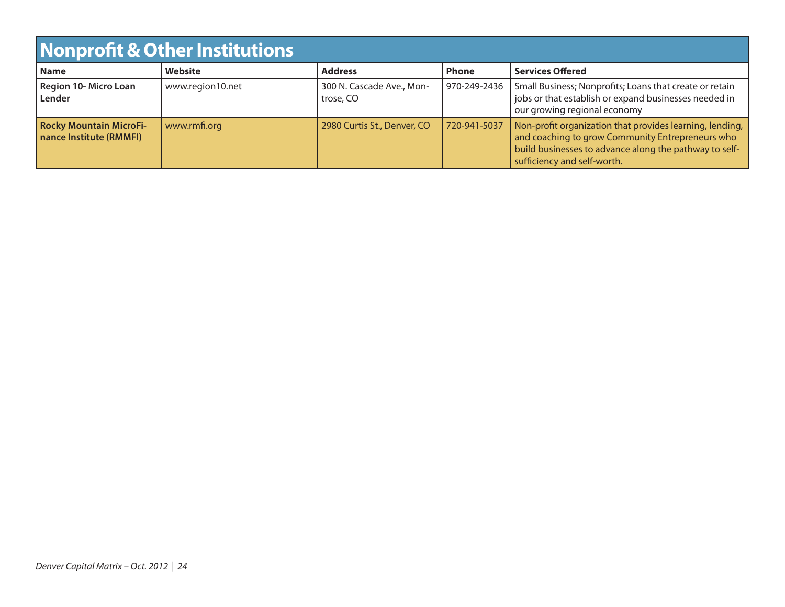| <b>Nonprofit &amp; Other Institutions</b>                 |                  |                                        |              |                                                                                                                                                                                                       |
|-----------------------------------------------------------|------------------|----------------------------------------|--------------|-------------------------------------------------------------------------------------------------------------------------------------------------------------------------------------------------------|
| Name                                                      | Website          | <b>Address</b>                         | <b>Phone</b> | <b>Services Offered</b>                                                                                                                                                                               |
| Region 10- Micro Loan<br>Lender                           | www.region10.net | 300 N. Cascade Ave., Mon-<br>trose, CO | 970-249-2436 | Small Business; Nonprofits; Loans that create or retain<br>jobs or that establish or expand businesses needed in<br>our growing regional economy                                                      |
| <b>Rocky Mountain MicroFi-</b><br>nance Institute (RMMFI) | www.rmfi.org     | 2980 Curtis St., Denver, CO            | 720-941-5037 | Non-profit organization that provides learning, lending,<br>and coaching to grow Community Entrepreneurs who<br>build businesses to advance along the pathway to self-<br>sufficiency and self-worth. |